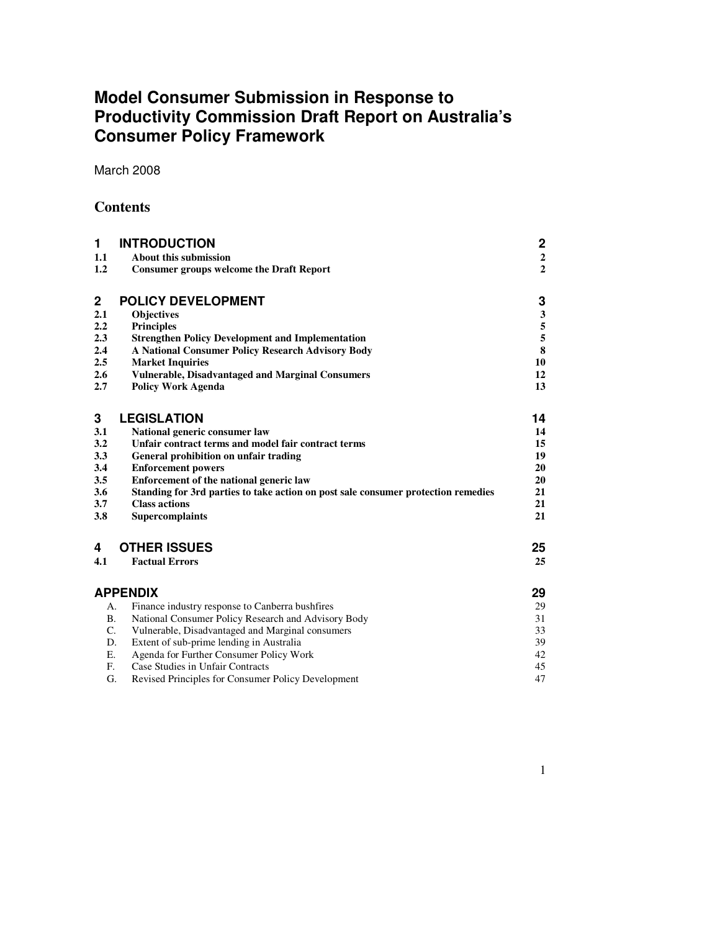# **Model Consumer Submission in Response to Productivity Commission Draft Report on Australia's Consumer Policy Framework**

March 2008

## **Contents**

| 1.1<br>About this submission<br>1.2<br><b>Consumer groups welcome the Draft Report</b><br>$\mathbf 2$<br><b>POLICY DEVELOPMENT</b><br>2.1<br>Objectives<br><b>Principles</b><br>2.2<br>2.3<br><b>Strengthen Policy Development and Implementation</b><br>2.4<br>A National Consumer Policy Research Advisory Body<br>2.5<br><b>Market Inquiries</b><br>2.6<br><b>Vulnerable, Disadvantaged and Marginal Consumers</b><br>2.7<br><b>Policy Work Agenda</b> | 2                |
|-----------------------------------------------------------------------------------------------------------------------------------------------------------------------------------------------------------------------------------------------------------------------------------------------------------------------------------------------------------------------------------------------------------------------------------------------------------|------------------|
|                                                                                                                                                                                                                                                                                                                                                                                                                                                           | $\boldsymbol{2}$ |
|                                                                                                                                                                                                                                                                                                                                                                                                                                                           | $\overline{2}$   |
|                                                                                                                                                                                                                                                                                                                                                                                                                                                           | 3                |
|                                                                                                                                                                                                                                                                                                                                                                                                                                                           | $\mathbf{3}$     |
|                                                                                                                                                                                                                                                                                                                                                                                                                                                           | 5                |
|                                                                                                                                                                                                                                                                                                                                                                                                                                                           | 5                |
|                                                                                                                                                                                                                                                                                                                                                                                                                                                           | 8                |
|                                                                                                                                                                                                                                                                                                                                                                                                                                                           | 10               |
|                                                                                                                                                                                                                                                                                                                                                                                                                                                           | 12               |
|                                                                                                                                                                                                                                                                                                                                                                                                                                                           | 13               |
| 3<br><b>LEGISLATION</b>                                                                                                                                                                                                                                                                                                                                                                                                                                   | 14               |
|                                                                                                                                                                                                                                                                                                                                                                                                                                                           |                  |
| 3.1<br>National generic consumer law<br>3.2<br>Unfair contract terms and model fair contract terms                                                                                                                                                                                                                                                                                                                                                        | 14<br>15         |
| 3.3<br>General prohibition on unfair trading                                                                                                                                                                                                                                                                                                                                                                                                              | 19               |
| 3.4<br><b>Enforcement powers</b>                                                                                                                                                                                                                                                                                                                                                                                                                          | 20               |
| 3.5<br>Enforcement of the national generic law                                                                                                                                                                                                                                                                                                                                                                                                            | 20               |
| 3.6<br>Standing for 3rd parties to take action on post sale consumer protection remedies                                                                                                                                                                                                                                                                                                                                                                  | 21               |
| 3.7<br><b>Class actions</b>                                                                                                                                                                                                                                                                                                                                                                                                                               | 21               |
| 3.8<br><b>Supercomplaints</b>                                                                                                                                                                                                                                                                                                                                                                                                                             | 21               |
|                                                                                                                                                                                                                                                                                                                                                                                                                                                           |                  |
| <b>OTHER ISSUES</b><br>4                                                                                                                                                                                                                                                                                                                                                                                                                                  | 25               |
| 4.1<br><b>Factual Errors</b>                                                                                                                                                                                                                                                                                                                                                                                                                              | 25               |
| <b>APPENDIX</b>                                                                                                                                                                                                                                                                                                                                                                                                                                           | 29               |
| Finance industry response to Canberra bushfires<br>А.                                                                                                                                                                                                                                                                                                                                                                                                     | 29               |
| National Consumer Policy Research and Advisory Body<br><b>B.</b>                                                                                                                                                                                                                                                                                                                                                                                          | 31               |
| C.<br>Vulnerable, Disadvantaged and Marginal consumers                                                                                                                                                                                                                                                                                                                                                                                                    | 33               |
| Extent of sub-prime lending in Australia<br>D.                                                                                                                                                                                                                                                                                                                                                                                                            | 39               |
| Agenda for Further Consumer Policy Work<br>Е.                                                                                                                                                                                                                                                                                                                                                                                                             | 42               |
| $F_{\cdot}$<br>Case Studies in Unfair Contracts                                                                                                                                                                                                                                                                                                                                                                                                           | 45               |
| G.<br>Revised Principles for Consumer Policy Development                                                                                                                                                                                                                                                                                                                                                                                                  | 47               |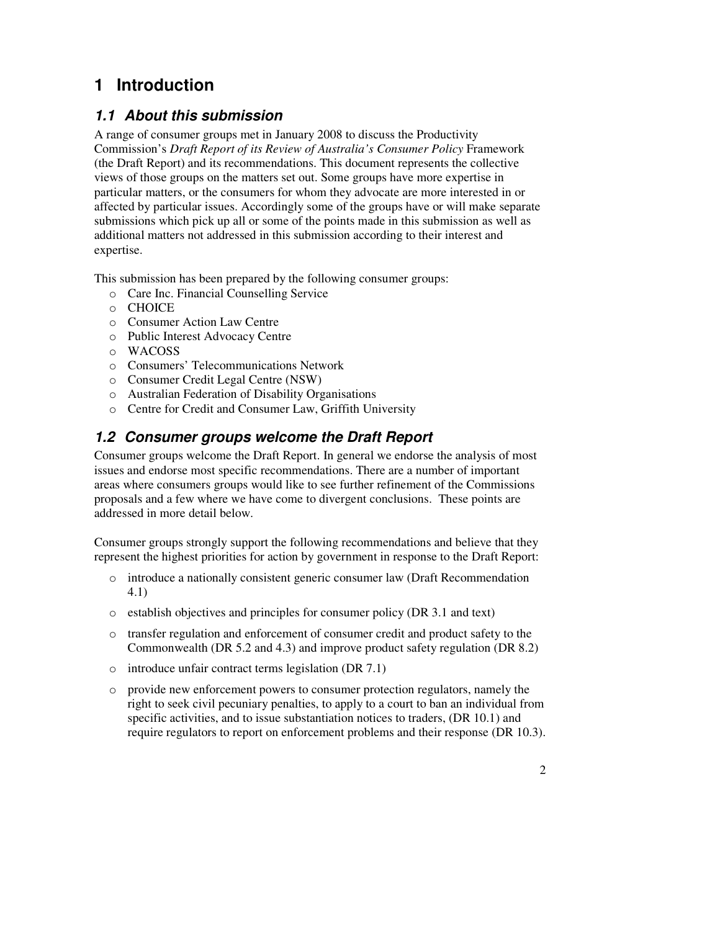# **1 Introduction**

## **1.1 About this submission**

A range of consumer groups met in January 2008 to discuss the Productivity Commission's *Draft Report of its Review of Australia's Consumer Policy* Framework (the Draft Report) and its recommendations. This document represents the collective views of those groups on the matters set out. Some groups have more expertise in particular matters, or the consumers for whom they advocate are more interested in or affected by particular issues. Accordingly some of the groups have or will make separate submissions which pick up all or some of the points made in this submission as well as additional matters not addressed in this submission according to their interest and expertise.

This submission has been prepared by the following consumer groups:

- o Care Inc. Financial Counselling Service
- o CHOICE
- o Consumer Action Law Centre
- o Public Interest Advocacy Centre
- o WACOSS
- o Consumers' Telecommunications Network
- o Consumer Credit Legal Centre (NSW)
- o Australian Federation of Disability Organisations
- o Centre for Credit and Consumer Law, Griffith University

## **1.2 Consumer groups welcome the Draft Report**

Consumer groups welcome the Draft Report. In general we endorse the analysis of most issues and endorse most specific recommendations. There are a number of important areas where consumers groups would like to see further refinement of the Commissions proposals and a few where we have come to divergent conclusions. These points are addressed in more detail below.

Consumer groups strongly support the following recommendations and believe that they represent the highest priorities for action by government in response to the Draft Report:

- o introduce a nationally consistent generic consumer law (Draft Recommendation 4.1)
- o establish objectives and principles for consumer policy (DR 3.1 and text)
- o transfer regulation and enforcement of consumer credit and product safety to the Commonwealth (DR 5.2 and 4.3) and improve product safety regulation (DR 8.2)
- o introduce unfair contract terms legislation (DR 7.1)
- o provide new enforcement powers to consumer protection regulators, namely the right to seek civil pecuniary penalties, to apply to a court to ban an individual from specific activities, and to issue substantiation notices to traders, (DR 10.1) and require regulators to report on enforcement problems and their response (DR 10.3).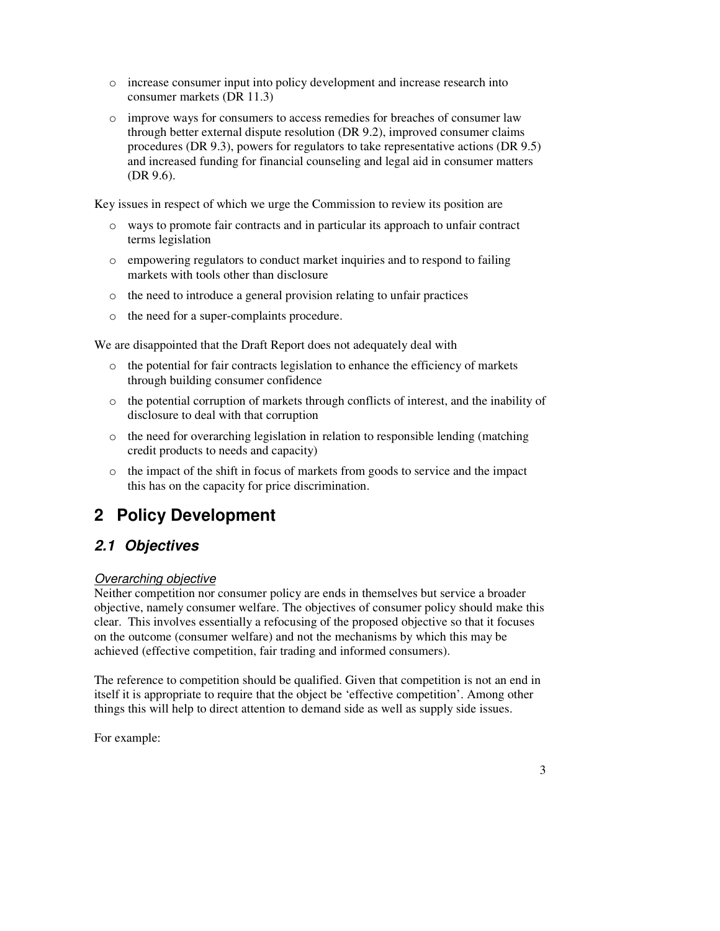- o increase consumer input into policy development and increase research into consumer markets (DR 11.3)
- o improve ways for consumers to access remedies for breaches of consumer law through better external dispute resolution (DR 9.2), improved consumer claims procedures (DR 9.3), powers for regulators to take representative actions (DR 9.5) and increased funding for financial counseling and legal aid in consumer matters (DR 9.6).

Key issues in respect of which we urge the Commission to review its position are

- o ways to promote fair contracts and in particular its approach to unfair contract terms legislation
- o empowering regulators to conduct market inquiries and to respond to failing markets with tools other than disclosure
- o the need to introduce a general provision relating to unfair practices
- o the need for a super-complaints procedure.

We are disappointed that the Draft Report does not adequately deal with

- $\circ$  the potential for fair contracts legislation to enhance the efficiency of markets through building consumer confidence
- o the potential corruption of markets through conflicts of interest, and the inability of disclosure to deal with that corruption
- $\circ$  the need for overarching legislation in relation to responsible lending (matching credit products to needs and capacity)
- o the impact of the shift in focus of markets from goods to service and the impact this has on the capacity for price discrimination.

# **2 Policy Development**

## **2.1 Objectives**

### Overarching objective

Neither competition nor consumer policy are ends in themselves but service a broader objective, namely consumer welfare. The objectives of consumer policy should make this clear. This involves essentially a refocusing of the proposed objective so that it focuses on the outcome (consumer welfare) and not the mechanisms by which this may be achieved (effective competition, fair trading and informed consumers).

The reference to competition should be qualified. Given that competition is not an end in itself it is appropriate to require that the object be 'effective competition'. Among other things this will help to direct attention to demand side as well as supply side issues.

For example: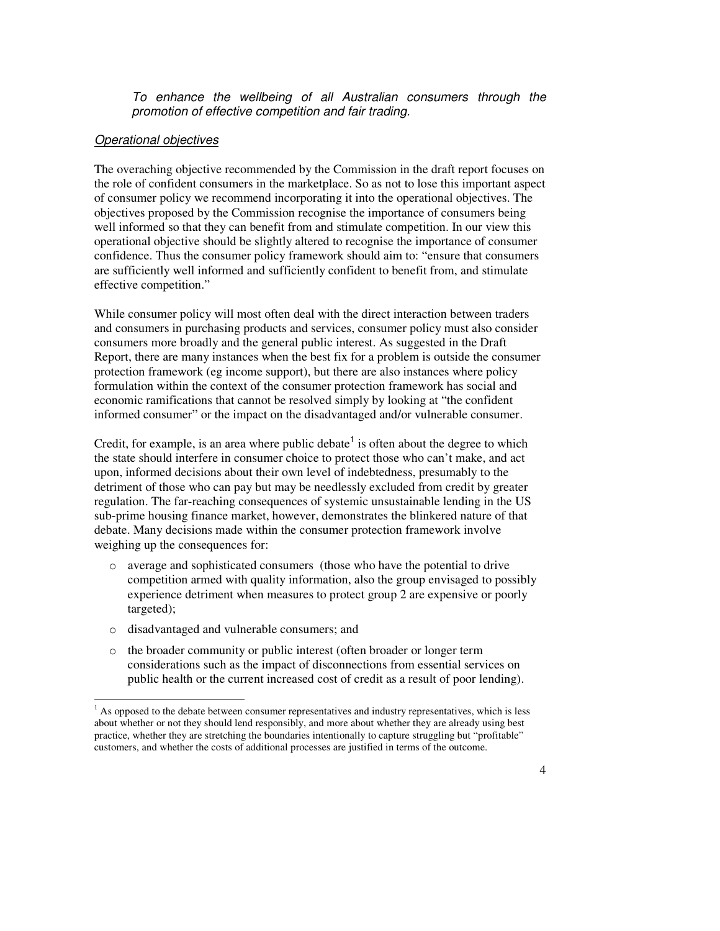To enhance the wellbeing of all Australian consumers through the promotion of effective competition and fair trading.

#### Operational objectives

The overaching objective recommended by the Commission in the draft report focuses on the role of confident consumers in the marketplace. So as not to lose this important aspect of consumer policy we recommend incorporating it into the operational objectives. The objectives proposed by the Commission recognise the importance of consumers being well informed so that they can benefit from and stimulate competition. In our view this operational objective should be slightly altered to recognise the importance of consumer confidence. Thus the consumer policy framework should aim to: "ensure that consumers are sufficiently well informed and sufficiently confident to benefit from, and stimulate effective competition."

While consumer policy will most often deal with the direct interaction between traders and consumers in purchasing products and services, consumer policy must also consider consumers more broadly and the general public interest. As suggested in the Draft Report, there are many instances when the best fix for a problem is outside the consumer protection framework (eg income support), but there are also instances where policy formulation within the context of the consumer protection framework has social and economic ramifications that cannot be resolved simply by looking at "the confident informed consumer" or the impact on the disadvantaged and/or vulnerable consumer.

Credit, for example, is an area where public debate<sup>1</sup> is often about the degree to which the state should interfere in consumer choice to protect those who can't make, and act upon, informed decisions about their own level of indebtedness, presumably to the detriment of those who can pay but may be needlessly excluded from credit by greater regulation. The far-reaching consequences of systemic unsustainable lending in the US sub-prime housing finance market, however, demonstrates the blinkered nature of that debate. Many decisions made within the consumer protection framework involve weighing up the consequences for:

- o average and sophisticated consumers (those who have the potential to drive competition armed with quality information, also the group envisaged to possibly experience detriment when measures to protect group 2 are expensive or poorly targeted);
- o disadvantaged and vulnerable consumers; and
- o the broader community or public interest (often broader or longer term considerations such as the impact of disconnections from essential services on public health or the current increased cost of credit as a result of poor lending).

<sup>&</sup>lt;sup>1</sup> As opposed to the debate between consumer representatives and industry representatives, which is less about whether or not they should lend responsibly, and more about whether they are already using best practice, whether they are stretching the boundaries intentionally to capture struggling but "profitable" customers, and whether the costs of additional processes are justified in terms of the outcome.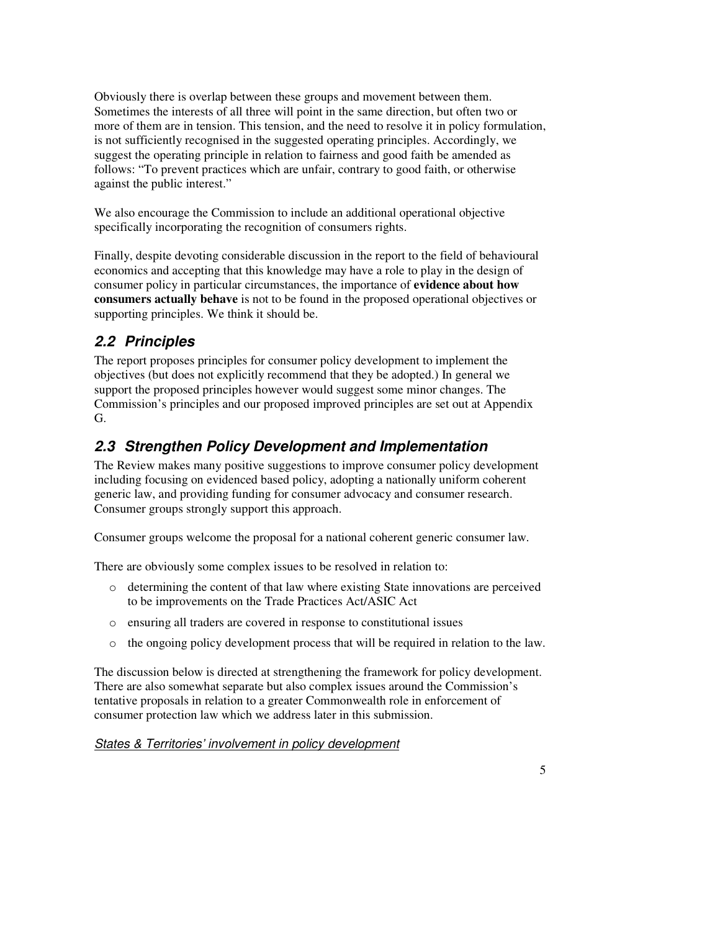Obviously there is overlap between these groups and movement between them. Sometimes the interests of all three will point in the same direction, but often two or more of them are in tension. This tension, and the need to resolve it in policy formulation, is not sufficiently recognised in the suggested operating principles. Accordingly, we suggest the operating principle in relation to fairness and good faith be amended as follows: "To prevent practices which are unfair, contrary to good faith, or otherwise against the public interest."

We also encourage the Commission to include an additional operational objective specifically incorporating the recognition of consumers rights.

Finally, despite devoting considerable discussion in the report to the field of behavioural economics and accepting that this knowledge may have a role to play in the design of consumer policy in particular circumstances, the importance of **evidence about how consumers actually behave** is not to be found in the proposed operational objectives or supporting principles. We think it should be.

## **2.2 Principles**

The report proposes principles for consumer policy development to implement the objectives (but does not explicitly recommend that they be adopted.) In general we support the proposed principles however would suggest some minor changes. The Commission's principles and our proposed improved principles are set out at Appendix G.

## **2.3 Strengthen Policy Development and Implementation**

The Review makes many positive suggestions to improve consumer policy development including focusing on evidenced based policy, adopting a nationally uniform coherent generic law, and providing funding for consumer advocacy and consumer research. Consumer groups strongly support this approach.

Consumer groups welcome the proposal for a national coherent generic consumer law.

There are obviously some complex issues to be resolved in relation to:

- o determining the content of that law where existing State innovations are perceived to be improvements on the Trade Practices Act/ASIC Act
- o ensuring all traders are covered in response to constitutional issues
- o the ongoing policy development process that will be required in relation to the law.

The discussion below is directed at strengthening the framework for policy development. There are also somewhat separate but also complex issues around the Commission's tentative proposals in relation to a greater Commonwealth role in enforcement of consumer protection law which we address later in this submission.

States & Territories' involvement in policy development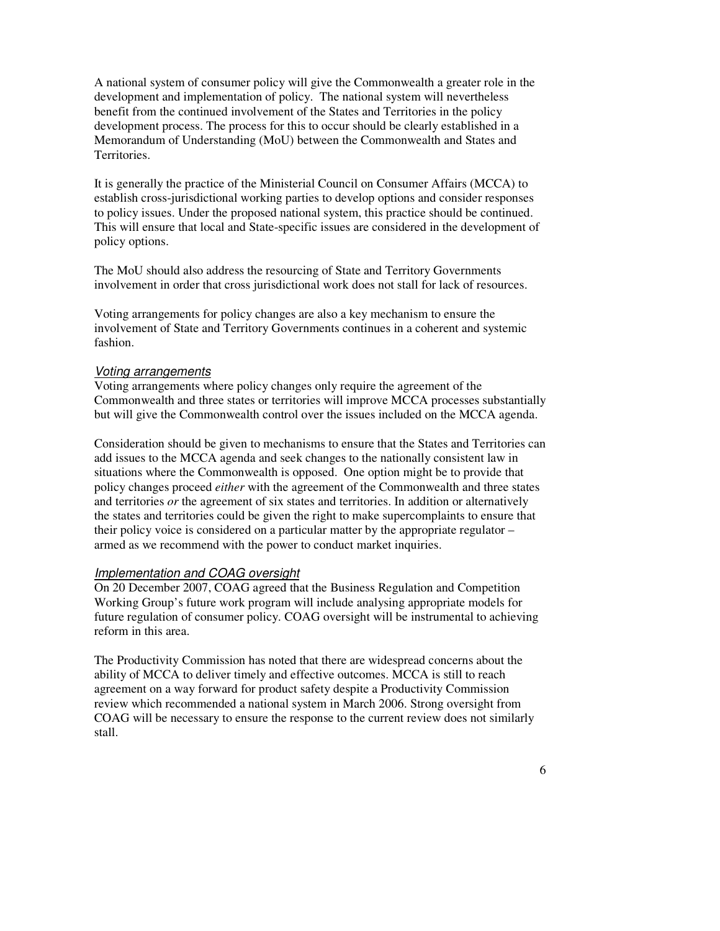A national system of consumer policy will give the Commonwealth a greater role in the development and implementation of policy. The national system will nevertheless benefit from the continued involvement of the States and Territories in the policy development process. The process for this to occur should be clearly established in a Memorandum of Understanding (MoU) between the Commonwealth and States and Territories.

It is generally the practice of the Ministerial Council on Consumer Affairs (MCCA) to establish cross-jurisdictional working parties to develop options and consider responses to policy issues. Under the proposed national system, this practice should be continued. This will ensure that local and State-specific issues are considered in the development of policy options.

The MoU should also address the resourcing of State and Territory Governments involvement in order that cross jurisdictional work does not stall for lack of resources.

Voting arrangements for policy changes are also a key mechanism to ensure the involvement of State and Territory Governments continues in a coherent and systemic fashion.

### Voting arrangements

Voting arrangements where policy changes only require the agreement of the Commonwealth and three states or territories will improve MCCA processes substantially but will give the Commonwealth control over the issues included on the MCCA agenda.

Consideration should be given to mechanisms to ensure that the States and Territories can add issues to the MCCA agenda and seek changes to the nationally consistent law in situations where the Commonwealth is opposed. One option might be to provide that policy changes proceed *either* with the agreement of the Commonwealth and three states and territories *or* the agreement of six states and territories. In addition or alternatively the states and territories could be given the right to make supercomplaints to ensure that their policy voice is considered on a particular matter by the appropriate regulator – armed as we recommend with the power to conduct market inquiries.

### Implementation and COAG oversight

On 20 December 2007, COAG agreed that the Business Regulation and Competition Working Group's future work program will include analysing appropriate models for future regulation of consumer policy. COAG oversight will be instrumental to achieving reform in this area.

The Productivity Commission has noted that there are widespread concerns about the ability of MCCA to deliver timely and effective outcomes. MCCA is still to reach agreement on a way forward for product safety despite a Productivity Commission review which recommended a national system in March 2006. Strong oversight from COAG will be necessary to ensure the response to the current review does not similarly stall.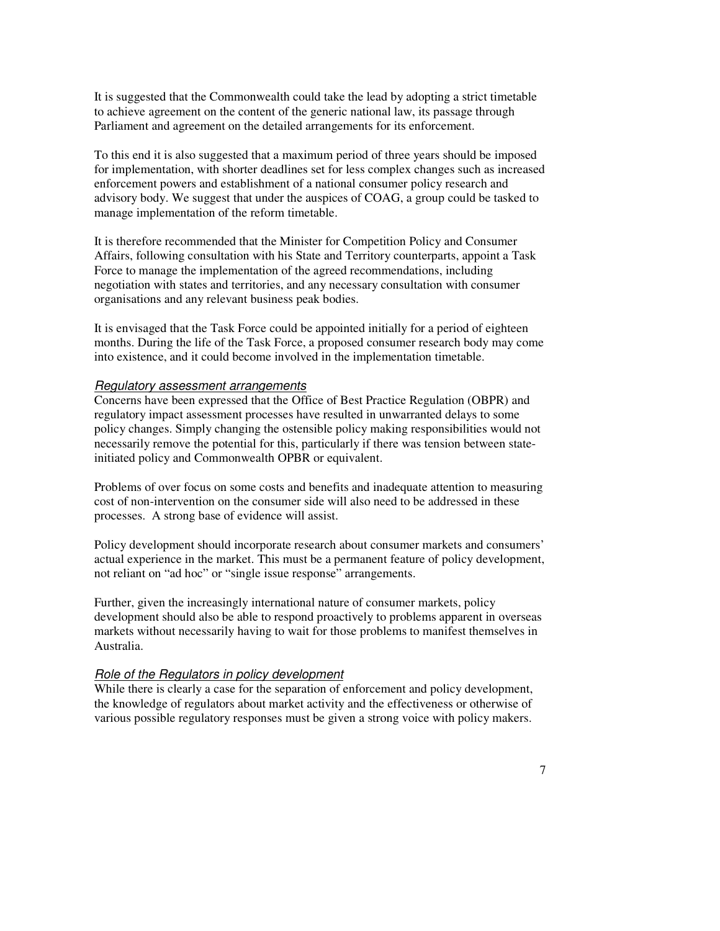It is suggested that the Commonwealth could take the lead by adopting a strict timetable to achieve agreement on the content of the generic national law, its passage through Parliament and agreement on the detailed arrangements for its enforcement.

To this end it is also suggested that a maximum period of three years should be imposed for implementation, with shorter deadlines set for less complex changes such as increased enforcement powers and establishment of a national consumer policy research and advisory body. We suggest that under the auspices of COAG, a group could be tasked to manage implementation of the reform timetable.

It is therefore recommended that the Minister for Competition Policy and Consumer Affairs, following consultation with his State and Territory counterparts, appoint a Task Force to manage the implementation of the agreed recommendations, including negotiation with states and territories, and any necessary consultation with consumer organisations and any relevant business peak bodies.

It is envisaged that the Task Force could be appointed initially for a period of eighteen months. During the life of the Task Force, a proposed consumer research body may come into existence, and it could become involved in the implementation timetable.

#### Regulatory assessment arrangements

Concerns have been expressed that the Office of Best Practice Regulation (OBPR) and regulatory impact assessment processes have resulted in unwarranted delays to some policy changes. Simply changing the ostensible policy making responsibilities would not necessarily remove the potential for this, particularly if there was tension between stateinitiated policy and Commonwealth OPBR or equivalent.

Problems of over focus on some costs and benefits and inadequate attention to measuring cost of non-intervention on the consumer side will also need to be addressed in these processes. A strong base of evidence will assist.

Policy development should incorporate research about consumer markets and consumers' actual experience in the market. This must be a permanent feature of policy development, not reliant on "ad hoc" or "single issue response" arrangements.

Further, given the increasingly international nature of consumer markets, policy development should also be able to respond proactively to problems apparent in overseas markets without necessarily having to wait for those problems to manifest themselves in Australia.

### Role of the Regulators in policy development

While there is clearly a case for the separation of enforcement and policy development, the knowledge of regulators about market activity and the effectiveness or otherwise of various possible regulatory responses must be given a strong voice with policy makers.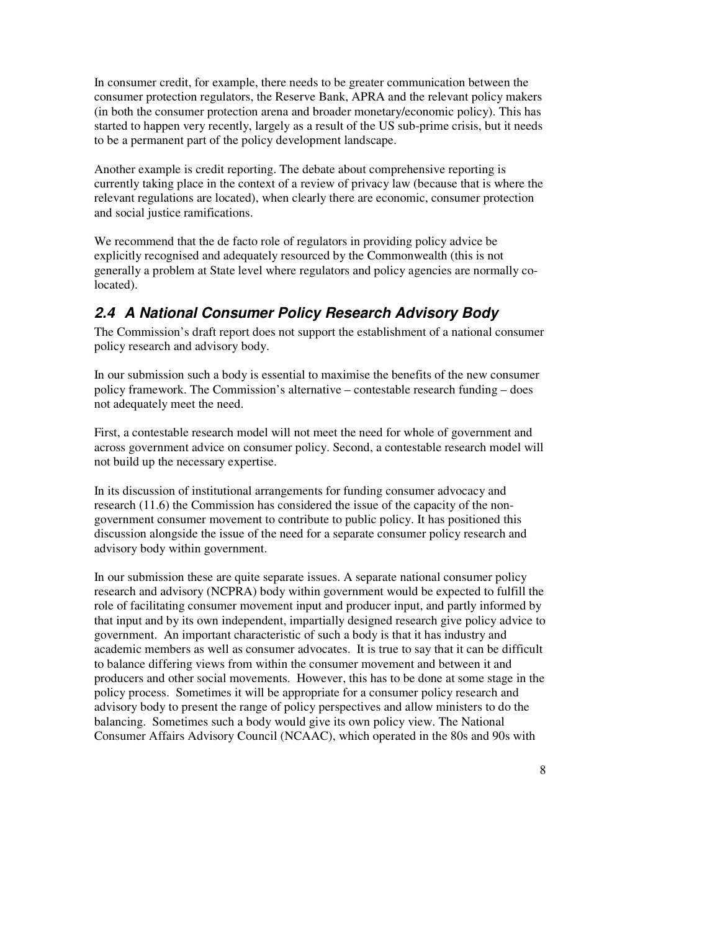In consumer credit, for example, there needs to be greater communication between the consumer protection regulators, the Reserve Bank, APRA and the relevant policy makers (in both the consumer protection arena and broader monetary/economic policy). This has started to happen very recently, largely as a result of the US sub-prime crisis, but it needs to be a permanent part of the policy development landscape.

Another example is credit reporting. The debate about comprehensive reporting is currently taking place in the context of a review of privacy law (because that is where the relevant regulations are located), when clearly there are economic, consumer protection and social justice ramifications.

We recommend that the de facto role of regulators in providing policy advice be explicitly recognised and adequately resourced by the Commonwealth (this is not generally a problem at State level where regulators and policy agencies are normally colocated).

## **2.4 A National Consumer Policy Research Advisory Body**

The Commission's draft report does not support the establishment of a national consumer policy research and advisory body.

In our submission such a body is essential to maximise the benefits of the new consumer policy framework. The Commission's alternative – contestable research funding – does not adequately meet the need.

First, a contestable research model will not meet the need for whole of government and across government advice on consumer policy. Second, a contestable research model will not build up the necessary expertise.

In its discussion of institutional arrangements for funding consumer advocacy and research (11.6) the Commission has considered the issue of the capacity of the nongovernment consumer movement to contribute to public policy. It has positioned this discussion alongside the issue of the need for a separate consumer policy research and advisory body within government.

In our submission these are quite separate issues. A separate national consumer policy research and advisory (NCPRA) body within government would be expected to fulfill the role of facilitating consumer movement input and producer input, and partly informed by that input and by its own independent, impartially designed research give policy advice to government. An important characteristic of such a body is that it has industry and academic members as well as consumer advocates. It is true to say that it can be difficult to balance differing views from within the consumer movement and between it and producers and other social movements. However, this has to be done at some stage in the policy process. Sometimes it will be appropriate for a consumer policy research and advisory body to present the range of policy perspectives and allow ministers to do the balancing. Sometimes such a body would give its own policy view. The National Consumer Affairs Advisory Council (NCAAC), which operated in the 80s and 90s with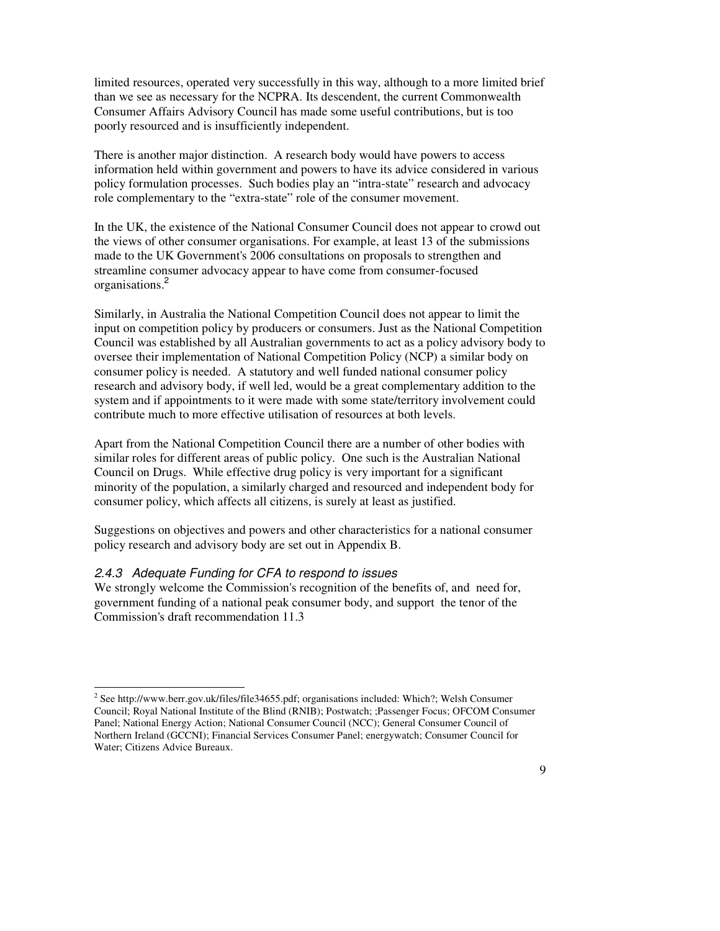limited resources, operated very successfully in this way, although to a more limited brief than we see as necessary for the NCPRA. Its descendent, the current Commonwealth Consumer Affairs Advisory Council has made some useful contributions, but is too poorly resourced and is insufficiently independent.

There is another major distinction. A research body would have powers to access information held within government and powers to have its advice considered in various policy formulation processes. Such bodies play an "intra-state" research and advocacy role complementary to the "extra-state" role of the consumer movement.

In the UK, the existence of the National Consumer Council does not appear to crowd out the views of other consumer organisations. For example, at least 13 of the submissions made to the UK Government's 2006 consultations on proposals to strengthen and streamline consumer advocacy appear to have come from consumer-focused organisations.<sup>2</sup>

Similarly, in Australia the National Competition Council does not appear to limit the input on competition policy by producers or consumers. Just as the National Competition Council was established by all Australian governments to act as a policy advisory body to oversee their implementation of National Competition Policy (NCP) a similar body on consumer policy is needed. A statutory and well funded national consumer policy research and advisory body, if well led, would be a great complementary addition to the system and if appointments to it were made with some state/territory involvement could contribute much to more effective utilisation of resources at both levels.

Apart from the National Competition Council there are a number of other bodies with similar roles for different areas of public policy. One such is the Australian National Council on Drugs. While effective drug policy is very important for a significant minority of the population, a similarly charged and resourced and independent body for consumer policy, which affects all citizens, is surely at least as justified.

Suggestions on objectives and powers and other characteristics for a national consumer policy research and advisory body are set out in Appendix B.

### 2.4.3 Adequate Funding for CFA to respond to issues

 $\overline{a}$ 

We strongly welcome the Commission's recognition of the benefits of, and need for, government funding of a national peak consumer body, and support the tenor of the Commission's draft recommendation 11.3

<sup>&</sup>lt;sup>2</sup> See http://www.berr.gov.uk/files/file34655.pdf; organisations included: Which?; Welsh Consumer Council; Royal National Institute of the Blind (RNIB); Postwatch; ;Passenger Focus; OFCOM Consumer Panel; National Energy Action; National Consumer Council (NCC); General Consumer Council of Northern Ireland (GCCNI); Financial Services Consumer Panel; energywatch; Consumer Council for Water; Citizens Advice Bureaux.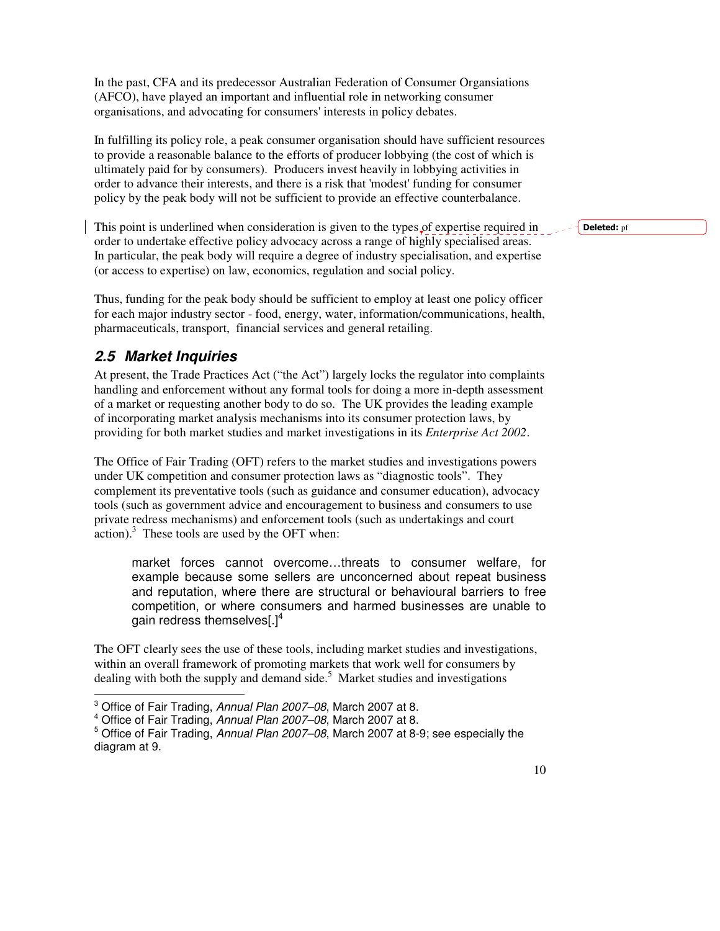In the past, CFA and its predecessor Australian Federation of Consumer Organsiations (AFCO), have played an important and influential role in networking consumer organisations, and advocating for consumers' interests in policy debates.

In fulfilling its policy role, a peak consumer organisation should have sufficient resources to provide a reasonable balance to the efforts of producer lobbying (the cost of which is ultimately paid for by consumers). Producers invest heavily in lobbying activities in order to advance their interests, and there is a risk that 'modest' funding for consumer policy by the peak body will not be sufficient to provide an effective counterbalance.

This point is underlined when consideration is given to the types of expertise required in order to undertake effective policy advocacy across a range of highly specialised areas. In particular, the peak body will require a degree of industry specialisation, and expertise (or access to expertise) on law, economics, regulation and social policy.

Thus, funding for the peak body should be sufficient to employ at least one policy officer for each major industry sector - food, energy, water, information/communications, health, pharmaceuticals, transport, financial services and general retailing.

## **2.5 Market Inquiries**

At present, the Trade Practices Act ("the Act") largely locks the regulator into complaints handling and enforcement without any formal tools for doing a more in-depth assessment of a market or requesting another body to do so. The UK provides the leading example of incorporating market analysis mechanisms into its consumer protection laws, by providing for both market studies and market investigations in its *Enterprise Act 2002*.

The Office of Fair Trading (OFT) refers to the market studies and investigations powers under UK competition and consumer protection laws as "diagnostic tools". They complement its preventative tools (such as guidance and consumer education), advocacy tools (such as government advice and encouragement to business and consumers to use private redress mechanisms) and enforcement tools (such as undertakings and court  $\arctan$ ).<sup>3</sup> These tools are used by the OFT when:

market forces cannot overcome…threats to consumer welfare, for example because some sellers are unconcerned about repeat business and reputation, where there are structural or behavioural barriers to free competition, or where consumers and harmed businesses are unable to gain redress themselves[. $]^{4}$ 

The OFT clearly sees the use of these tools, including market studies and investigations, within an overall framework of promoting markets that work well for consumers by dealing with both the supply and demand side.<sup>5</sup> Market studies and investigations

Deleted: pf

 3 Office of Fair Trading, Annual Plan 2007–08, March 2007 at 8.

<sup>&</sup>lt;sup>4</sup> Office of Fair Trading, Annual Plan 2007-08, March 2007 at 8.

<sup>&</sup>lt;sup>5</sup> Office of Fair Trading, Annual Plan 2007–08, March 2007 at 8-9; see especially the diagram at 9.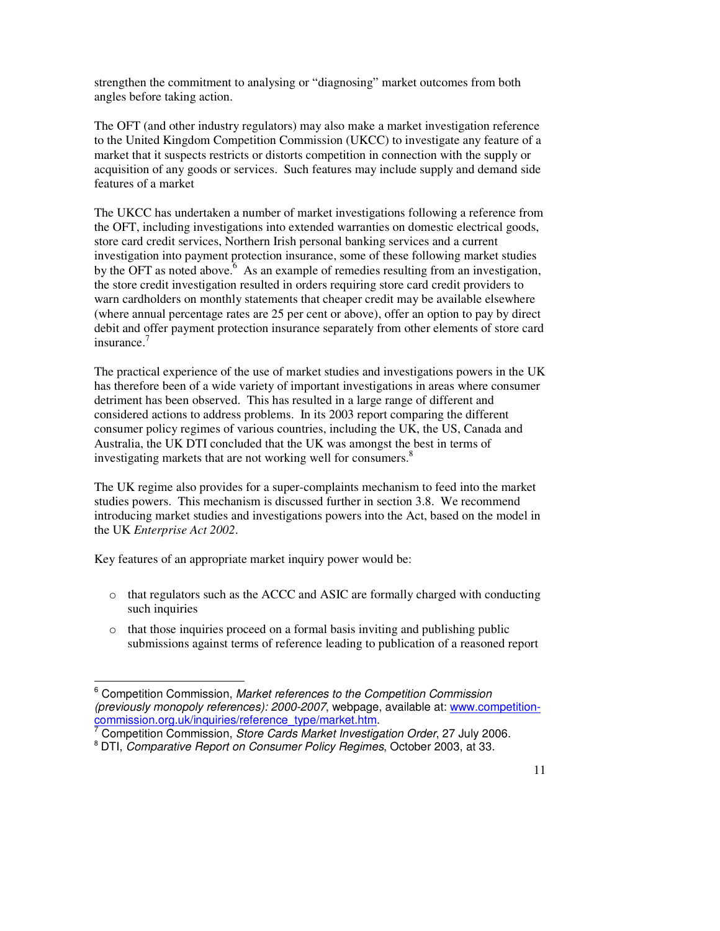strengthen the commitment to analysing or "diagnosing" market outcomes from both angles before taking action.

The OFT (and other industry regulators) may also make a market investigation reference to the United Kingdom Competition Commission (UKCC) to investigate any feature of a market that it suspects restricts or distorts competition in connection with the supply or acquisition of any goods or services. Such features may include supply and demand side features of a market

The UKCC has undertaken a number of market investigations following a reference from the OFT, including investigations into extended warranties on domestic electrical goods, store card credit services, Northern Irish personal banking services and a current investigation into payment protection insurance, some of these following market studies by the OFT as noted above.<sup> $6$ </sup> As an example of remedies resulting from an investigation, the store credit investigation resulted in orders requiring store card credit providers to warn cardholders on monthly statements that cheaper credit may be available elsewhere (where annual percentage rates are 25 per cent or above), offer an option to pay by direct debit and offer payment protection insurance separately from other elements of store card insurance.<sup>7</sup>

The practical experience of the use of market studies and investigations powers in the UK has therefore been of a wide variety of important investigations in areas where consumer detriment has been observed. This has resulted in a large range of different and considered actions to address problems. In its 2003 report comparing the different consumer policy regimes of various countries, including the UK, the US, Canada and Australia, the UK DTI concluded that the UK was amongst the best in terms of investigating markets that are not working well for consumers. 8

The UK regime also provides for a super-complaints mechanism to feed into the market studies powers. This mechanism is discussed further in section 3.8. We recommend introducing market studies and investigations powers into the Act, based on the model in the UK *Enterprise Act 2002*.

Key features of an appropriate market inquiry power would be:

- o that regulators such as the ACCC and ASIC are formally charged with conducting such inquiries
- o that those inquiries proceed on a formal basis inviting and publishing public submissions against terms of reference leading to publication of a reasoned report

 $\ddot{ }$ <sup>6</sup> Competition Commission, Market references to the Competition Commission (previously monopoly references): 2000-2007, webpage, available at: www.competition-

<sup>&</sup>lt;u>commission.org.uk/inquiries/reference\_type/market.htm</u>.<br><sup>7</sup> Competition Commission, *Store Cards Market Investigation Order*, 27 July 2006.

<sup>&</sup>lt;sup>8</sup> DTI, Comparative Report on Consumer Policy Regimes, October 2003, at 33.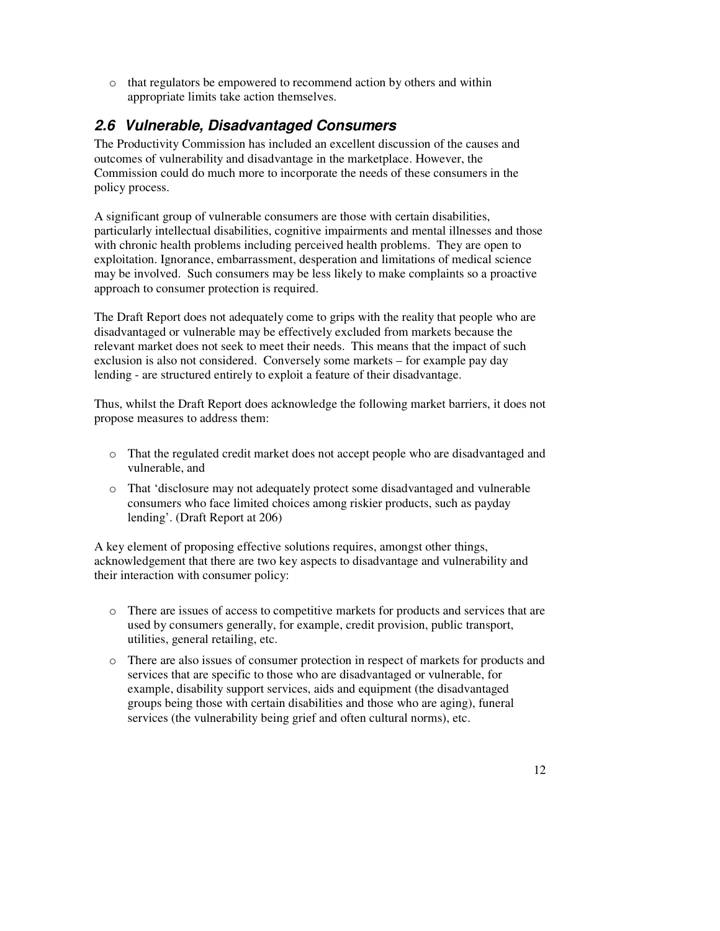o that regulators be empowered to recommend action by others and within appropriate limits take action themselves.

## **2.6 Vulnerable, Disadvantaged Consumers**

The Productivity Commission has included an excellent discussion of the causes and outcomes of vulnerability and disadvantage in the marketplace. However, the Commission could do much more to incorporate the needs of these consumers in the policy process.

A significant group of vulnerable consumers are those with certain disabilities, particularly intellectual disabilities, cognitive impairments and mental illnesses and those with chronic health problems including perceived health problems. They are open to exploitation. Ignorance, embarrassment, desperation and limitations of medical science may be involved. Such consumers may be less likely to make complaints so a proactive approach to consumer protection is required.

The Draft Report does not adequately come to grips with the reality that people who are disadvantaged or vulnerable may be effectively excluded from markets because the relevant market does not seek to meet their needs. This means that the impact of such exclusion is also not considered. Conversely some markets – for example pay day lending - are structured entirely to exploit a feature of their disadvantage.

Thus, whilst the Draft Report does acknowledge the following market barriers, it does not propose measures to address them:

- o That the regulated credit market does not accept people who are disadvantaged and vulnerable, and
- o That 'disclosure may not adequately protect some disadvantaged and vulnerable consumers who face limited choices among riskier products, such as payday lending'. (Draft Report at 206)

A key element of proposing effective solutions requires, amongst other things, acknowledgement that there are two key aspects to disadvantage and vulnerability and their interaction with consumer policy:

- o There are issues of access to competitive markets for products and services that are used by consumers generally, for example, credit provision, public transport, utilities, general retailing, etc.
- o There are also issues of consumer protection in respect of markets for products and services that are specific to those who are disadvantaged or vulnerable, for example, disability support services, aids and equipment (the disadvantaged groups being those with certain disabilities and those who are aging), funeral services (the vulnerability being grief and often cultural norms), etc.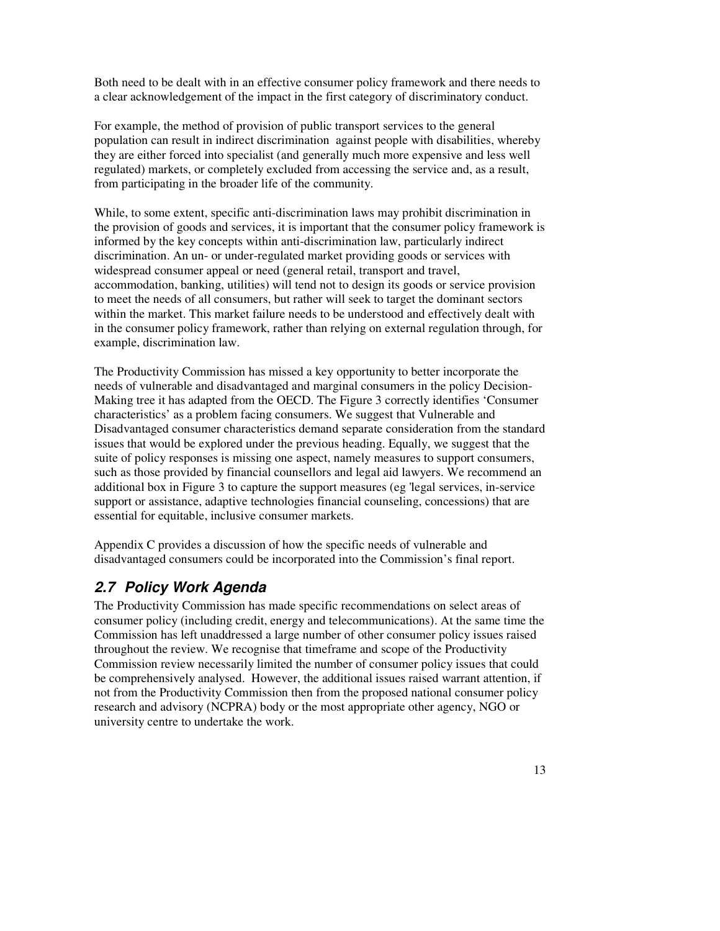Both need to be dealt with in an effective consumer policy framework and there needs to a clear acknowledgement of the impact in the first category of discriminatory conduct.

For example, the method of provision of public transport services to the general population can result in indirect discrimination against people with disabilities, whereby they are either forced into specialist (and generally much more expensive and less well regulated) markets, or completely excluded from accessing the service and, as a result, from participating in the broader life of the community.

While, to some extent, specific anti-discrimination laws may prohibit discrimination in the provision of goods and services, it is important that the consumer policy framework is informed by the key concepts within anti-discrimination law, particularly indirect discrimination. An un- or under-regulated market providing goods or services with widespread consumer appeal or need (general retail, transport and travel, accommodation, banking, utilities) will tend not to design its goods or service provision to meet the needs of all consumers, but rather will seek to target the dominant sectors within the market. This market failure needs to be understood and effectively dealt with in the consumer policy framework, rather than relying on external regulation through, for example, discrimination law.

The Productivity Commission has missed a key opportunity to better incorporate the needs of vulnerable and disadvantaged and marginal consumers in the policy Decision-Making tree it has adapted from the OECD. The Figure 3 correctly identifies 'Consumer characteristics' as a problem facing consumers. We suggest that Vulnerable and Disadvantaged consumer characteristics demand separate consideration from the standard issues that would be explored under the previous heading. Equally, we suggest that the suite of policy responses is missing one aspect, namely measures to support consumers, such as those provided by financial counsellors and legal aid lawyers. We recommend an additional box in Figure 3 to capture the support measures (eg 'legal services, in-service support or assistance, adaptive technologies financial counseling, concessions) that are essential for equitable, inclusive consumer markets.

Appendix C provides a discussion of how the specific needs of vulnerable and disadvantaged consumers could be incorporated into the Commission's final report.

## **2.7 Policy Work Agenda**

The Productivity Commission has made specific recommendations on select areas of consumer policy (including credit, energy and telecommunications). At the same time the Commission has left unaddressed a large number of other consumer policy issues raised throughout the review. We recognise that timeframe and scope of the Productivity Commission review necessarily limited the number of consumer policy issues that could be comprehensively analysed. However, the additional issues raised warrant attention, if not from the Productivity Commission then from the proposed national consumer policy research and advisory (NCPRA) body or the most appropriate other agency, NGO or university centre to undertake the work.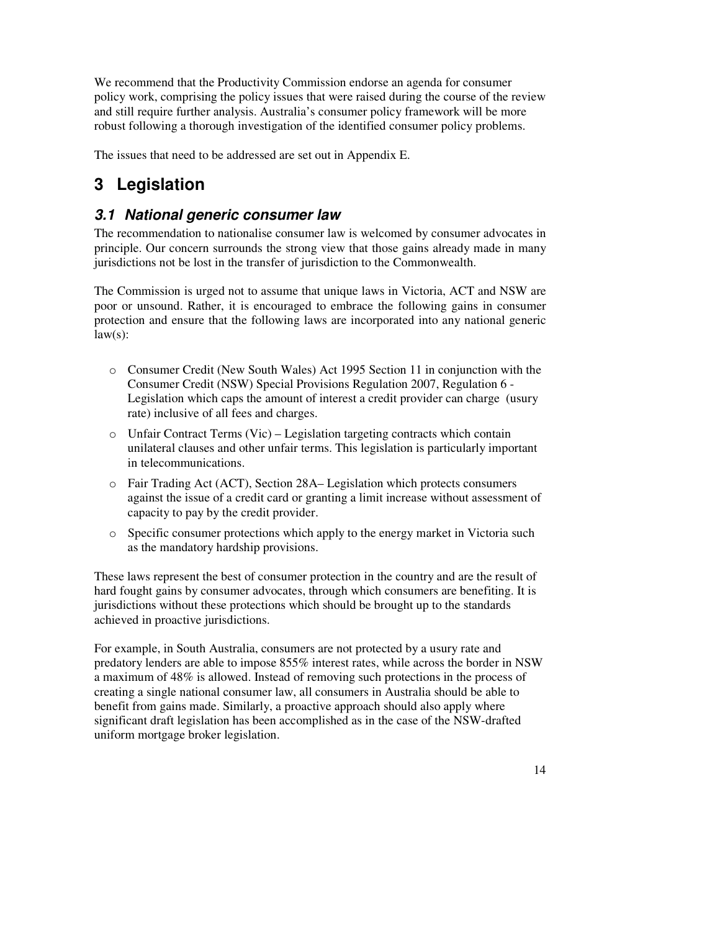We recommend that the Productivity Commission endorse an agenda for consumer policy work, comprising the policy issues that were raised during the course of the review and still require further analysis. Australia's consumer policy framework will be more robust following a thorough investigation of the identified consumer policy problems.

The issues that need to be addressed are set out in Appendix E.

# **3 Legislation**

## **3.1 National generic consumer law**

The recommendation to nationalise consumer law is welcomed by consumer advocates in principle. Our concern surrounds the strong view that those gains already made in many jurisdictions not be lost in the transfer of jurisdiction to the Commonwealth.

The Commission is urged not to assume that unique laws in Victoria, ACT and NSW are poor or unsound. Rather, it is encouraged to embrace the following gains in consumer protection and ensure that the following laws are incorporated into any national generic  $law(s)$ :

- o Consumer Credit (New South Wales) Act 1995 Section 11 in conjunction with the Consumer Credit (NSW) Special Provisions Regulation 2007, Regulation 6 - Legislation which caps the amount of interest a credit provider can charge (usury rate) inclusive of all fees and charges.
- o Unfair Contract Terms (Vic) Legislation targeting contracts which contain unilateral clauses and other unfair terms. This legislation is particularly important in telecommunications.
- o Fair Trading Act (ACT), Section 28A– Legislation which protects consumers against the issue of a credit card or granting a limit increase without assessment of capacity to pay by the credit provider.
- o Specific consumer protections which apply to the energy market in Victoria such as the mandatory hardship provisions.

These laws represent the best of consumer protection in the country and are the result of hard fought gains by consumer advocates, through which consumers are benefiting. It is jurisdictions without these protections which should be brought up to the standards achieved in proactive jurisdictions.

For example, in South Australia, consumers are not protected by a usury rate and predatory lenders are able to impose 855% interest rates, while across the border in NSW a maximum of 48% is allowed. Instead of removing such protections in the process of creating a single national consumer law, all consumers in Australia should be able to benefit from gains made. Similarly, a proactive approach should also apply where significant draft legislation has been accomplished as in the case of the NSW-drafted uniform mortgage broker legislation.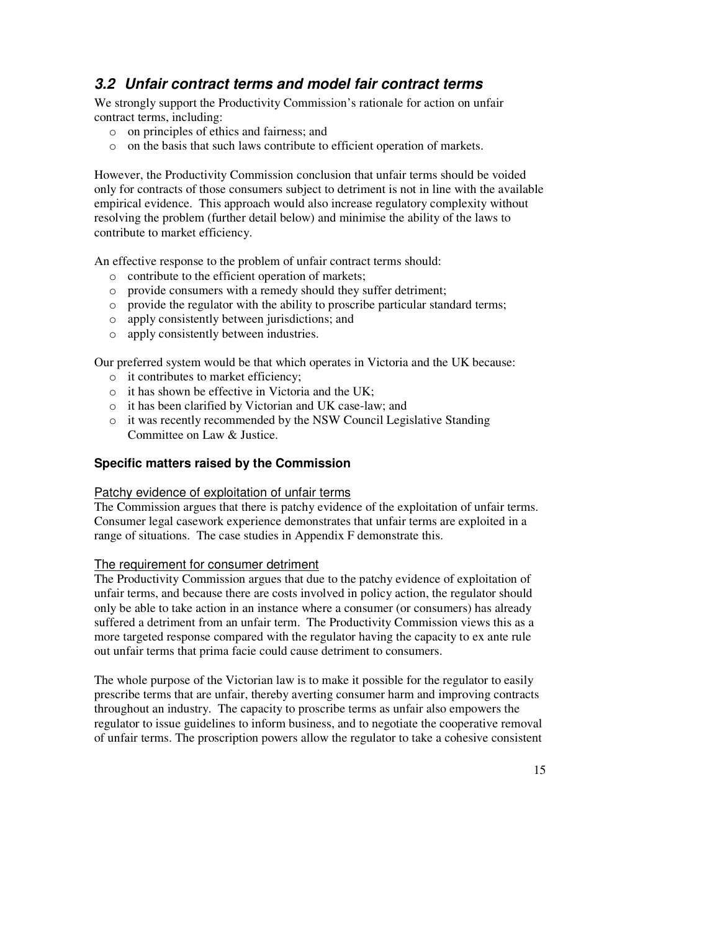## **3.2 Unfair contract terms and model fair contract terms**

We strongly support the Productivity Commission's rationale for action on unfair contract terms, including:

- o on principles of ethics and fairness; and
- o on the basis that such laws contribute to efficient operation of markets.

However, the Productivity Commission conclusion that unfair terms should be voided only for contracts of those consumers subject to detriment is not in line with the available empirical evidence. This approach would also increase regulatory complexity without resolving the problem (further detail below) and minimise the ability of the laws to contribute to market efficiency.

An effective response to the problem of unfair contract terms should:

- o contribute to the efficient operation of markets;
- o provide consumers with a remedy should they suffer detriment;
- o provide the regulator with the ability to proscribe particular standard terms;
- o apply consistently between jurisdictions; and
- o apply consistently between industries.

Our preferred system would be that which operates in Victoria and the UK because:

- o it contributes to market efficiency;
- o it has shown be effective in Victoria and the UK;
- o it has been clarified by Victorian and UK case-law; and
- o it was recently recommended by the NSW Council Legislative Standing Committee on Law & Justice.

#### **Specific matters raised by the Commission**

#### Patchy evidence of exploitation of unfair terms

The Commission argues that there is patchy evidence of the exploitation of unfair terms. Consumer legal casework experience demonstrates that unfair terms are exploited in a range of situations. The case studies in Appendix F demonstrate this.

### The requirement for consumer detriment

The Productivity Commission argues that due to the patchy evidence of exploitation of unfair terms, and because there are costs involved in policy action, the regulator should only be able to take action in an instance where a consumer (or consumers) has already suffered a detriment from an unfair term. The Productivity Commission views this as a more targeted response compared with the regulator having the capacity to ex ante rule out unfair terms that prima facie could cause detriment to consumers.

The whole purpose of the Victorian law is to make it possible for the regulator to easily prescribe terms that are unfair, thereby averting consumer harm and improving contracts throughout an industry. The capacity to proscribe terms as unfair also empowers the regulator to issue guidelines to inform business, and to negotiate the cooperative removal of unfair terms. The proscription powers allow the regulator to take a cohesive consistent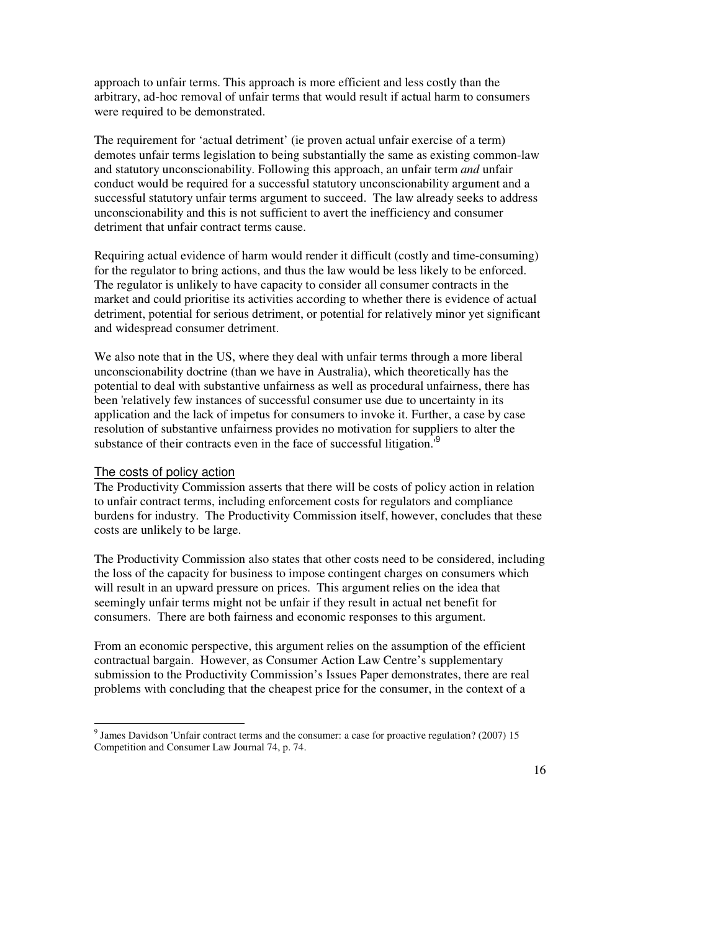approach to unfair terms. This approach is more efficient and less costly than the arbitrary, ad-hoc removal of unfair terms that would result if actual harm to consumers were required to be demonstrated.

The requirement for 'actual detriment' (ie proven actual unfair exercise of a term) demotes unfair terms legislation to being substantially the same as existing common-law and statutory unconscionability. Following this approach, an unfair term *and* unfair conduct would be required for a successful statutory unconscionability argument and a successful statutory unfair terms argument to succeed. The law already seeks to address unconscionability and this is not sufficient to avert the inefficiency and consumer detriment that unfair contract terms cause.

Requiring actual evidence of harm would render it difficult (costly and time-consuming) for the regulator to bring actions, and thus the law would be less likely to be enforced. The regulator is unlikely to have capacity to consider all consumer contracts in the market and could prioritise its activities according to whether there is evidence of actual detriment, potential for serious detriment, or potential for relatively minor yet significant and widespread consumer detriment.

We also note that in the US, where they deal with unfair terms through a more liberal unconscionability doctrine (than we have in Australia), which theoretically has the potential to deal with substantive unfairness as well as procedural unfairness, there has been 'relatively few instances of successful consumer use due to uncertainty in its application and the lack of impetus for consumers to invoke it. Further, a case by case resolution of substantive unfairness provides no motivation for suppliers to alter the substance of their contracts even in the face of successful litigation.<sup>19</sup>

#### The costs of policy action

 $\overline{a}$ 

The Productivity Commission asserts that there will be costs of policy action in relation to unfair contract terms, including enforcement costs for regulators and compliance burdens for industry. The Productivity Commission itself, however, concludes that these costs are unlikely to be large.

The Productivity Commission also states that other costs need to be considered, including the loss of the capacity for business to impose contingent charges on consumers which will result in an upward pressure on prices. This argument relies on the idea that seemingly unfair terms might not be unfair if they result in actual net benefit for consumers. There are both fairness and economic responses to this argument.

From an economic perspective, this argument relies on the assumption of the efficient contractual bargain. However, as Consumer Action Law Centre's supplementary submission to the Productivity Commission's Issues Paper demonstrates, there are real problems with concluding that the cheapest price for the consumer, in the context of a

<sup>&</sup>lt;sup>9</sup> James Davidson 'Unfair contract terms and the consumer: a case for proactive regulation? (2007) 15 Competition and Consumer Law Journal 74, p. 74.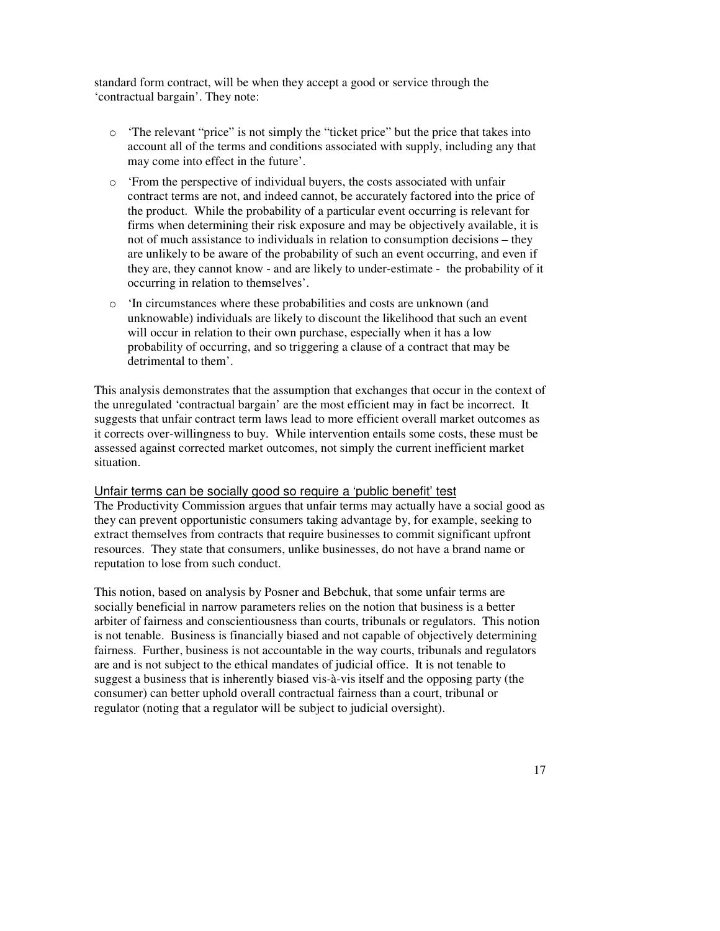standard form contract, will be when they accept a good or service through the 'contractual bargain'. They note:

- o 'The relevant "price" is not simply the "ticket price" but the price that takes into account all of the terms and conditions associated with supply, including any that may come into effect in the future'.
- o 'From the perspective of individual buyers, the costs associated with unfair contract terms are not, and indeed cannot, be accurately factored into the price of the product. While the probability of a particular event occurring is relevant for firms when determining their risk exposure and may be objectively available, it is not of much assistance to individuals in relation to consumption decisions – they are unlikely to be aware of the probability of such an event occurring, and even if they are, they cannot know - and are likely to under-estimate - the probability of it occurring in relation to themselves'.
- o 'In circumstances where these probabilities and costs are unknown (and unknowable) individuals are likely to discount the likelihood that such an event will occur in relation to their own purchase, especially when it has a low probability of occurring, and so triggering a clause of a contract that may be detrimental to them'.

This analysis demonstrates that the assumption that exchanges that occur in the context of the unregulated 'contractual bargain' are the most efficient may in fact be incorrect. It suggests that unfair contract term laws lead to more efficient overall market outcomes as it corrects over-willingness to buy. While intervention entails some costs, these must be assessed against corrected market outcomes, not simply the current inefficient market situation.

#### Unfair terms can be socially good so require a 'public benefit' test

The Productivity Commission argues that unfair terms may actually have a social good as they can prevent opportunistic consumers taking advantage by, for example, seeking to extract themselves from contracts that require businesses to commit significant upfront resources. They state that consumers, unlike businesses, do not have a brand name or reputation to lose from such conduct.

This notion, based on analysis by Posner and Bebchuk, that some unfair terms are socially beneficial in narrow parameters relies on the notion that business is a better arbiter of fairness and conscientiousness than courts, tribunals or regulators. This notion is not tenable. Business is financially biased and not capable of objectively determining fairness. Further, business is not accountable in the way courts, tribunals and regulators are and is not subject to the ethical mandates of judicial office. It is not tenable to suggest a business that is inherently biased vis-à-vis itself and the opposing party (the consumer) can better uphold overall contractual fairness than a court, tribunal or regulator (noting that a regulator will be subject to judicial oversight).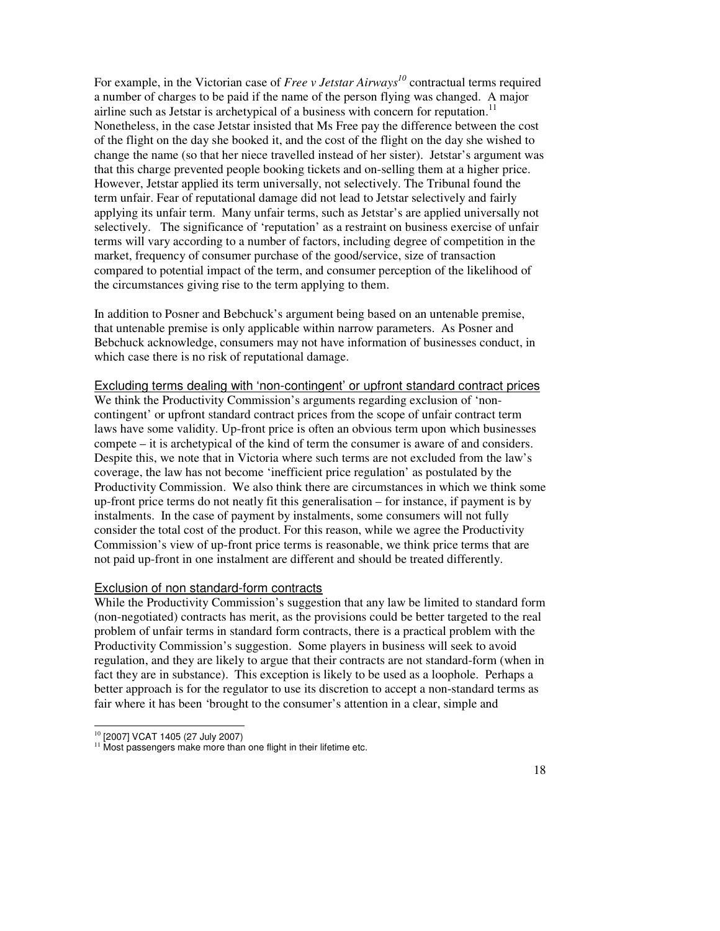For example, in the Victorian case of *Free v Jetstar Airways<sup>10</sup>* contractual terms required a number of charges to be paid if the name of the person flying was changed. A major airline such as Jetstar is archetypical of a business with concern for reputation.<sup>11</sup> Nonetheless, in the case Jetstar insisted that Ms Free pay the difference between the cost of the flight on the day she booked it, and the cost of the flight on the day she wished to change the name (so that her niece travelled instead of her sister). Jetstar's argument was that this charge prevented people booking tickets and on-selling them at a higher price. However, Jetstar applied its term universally, not selectively. The Tribunal found the term unfair. Fear of reputational damage did not lead to Jetstar selectively and fairly applying its unfair term. Many unfair terms, such as Jetstar's are applied universally not selectively. The significance of 'reputation' as a restraint on business exercise of unfair terms will vary according to a number of factors, including degree of competition in the market, frequency of consumer purchase of the good/service, size of transaction compared to potential impact of the term, and consumer perception of the likelihood of the circumstances giving rise to the term applying to them.

In addition to Posner and Bebchuck's argument being based on an untenable premise, that untenable premise is only applicable within narrow parameters. As Posner and Bebchuck acknowledge, consumers may not have information of businesses conduct, in which case there is no risk of reputational damage.

#### Excluding terms dealing with 'non-contingent' or upfront standard contract prices

We think the Productivity Commission's arguments regarding exclusion of 'noncontingent' or upfront standard contract prices from the scope of unfair contract term laws have some validity. Up-front price is often an obvious term upon which businesses compete – it is archetypical of the kind of term the consumer is aware of and considers. Despite this, we note that in Victoria where such terms are not excluded from the law's coverage, the law has not become 'inefficient price regulation' as postulated by the Productivity Commission. We also think there are circumstances in which we think some up-front price terms do not neatly fit this generalisation – for instance, if payment is by instalments. In the case of payment by instalments, some consumers will not fully consider the total cost of the product. For this reason, while we agree the Productivity Commission's view of up-front price terms is reasonable, we think price terms that are not paid up-front in one instalment are different and should be treated differently.

#### Exclusion of non standard-form contracts

While the Productivity Commission's suggestion that any law be limited to standard form (non-negotiated) contracts has merit, as the provisions could be better targeted to the real problem of unfair terms in standard form contracts, there is a practical problem with the Productivity Commission's suggestion. Some players in business will seek to avoid regulation, and they are likely to argue that their contracts are not standard-form (when in fact they are in substance). This exception is likely to be used as a loophole. Perhaps a better approach is for the regulator to use its discretion to accept a non-standard terms as fair where it has been 'brought to the consumer's attention in a clear, simple and

 $\overline{a}$ <sup>10</sup> [2007] VCAT 1405 (27 July 2007)

<sup>&</sup>lt;sup>11</sup> Most passengers make more than one flight in their lifetime etc.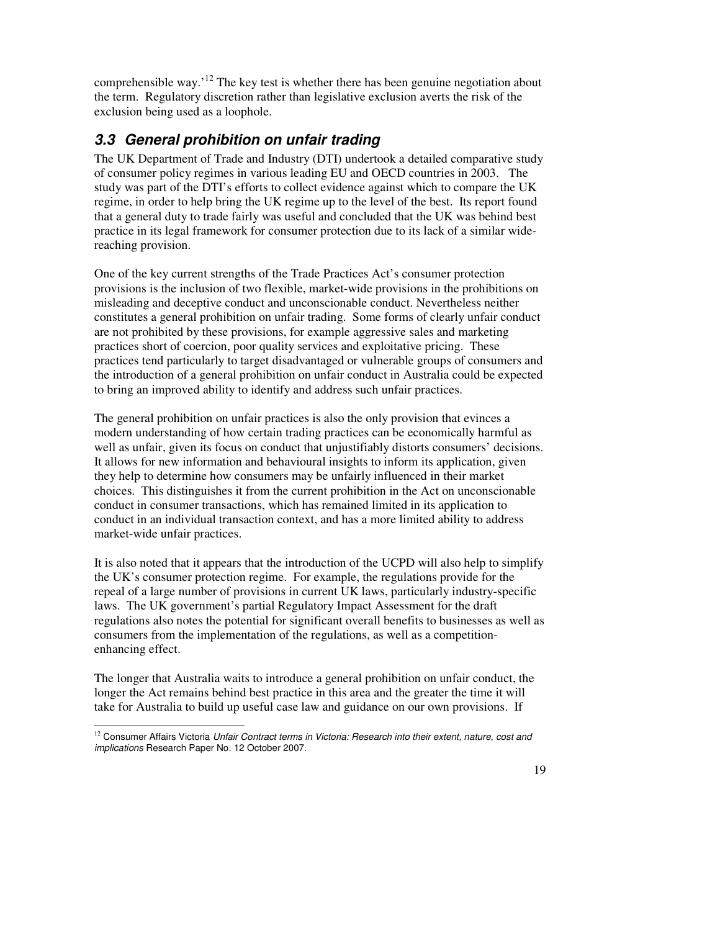comprehensible way.<sup>'12</sup> The key test is whether there has been genuine negotiation about the term. Regulatory discretion rather than legislative exclusion averts the risk of the exclusion being used as a loophole.

## **3.3 General prohibition on unfair trading**

The UK Department of Trade and Industry (DTI) undertook a detailed comparative study of consumer policy regimes in various leading EU and OECD countries in 2003. The study was part of the DTI's efforts to collect evidence against which to compare the UK regime, in order to help bring the UK regime up to the level of the best. Its report found that a general duty to trade fairly was useful and concluded that the UK was behind best practice in its legal framework for consumer protection due to its lack of a similar widereaching provision.

One of the key current strengths of the Trade Practices Act's consumer protection provisions is the inclusion of two flexible, market-wide provisions in the prohibitions on misleading and deceptive conduct and unconscionable conduct. Nevertheless neither constitutes a general prohibition on unfair trading. Some forms of clearly unfair conduct are not prohibited by these provisions, for example aggressive sales and marketing practices short of coercion, poor quality services and exploitative pricing. These practices tend particularly to target disadvantaged or vulnerable groups of consumers and the introduction of a general prohibition on unfair conduct in Australia could be expected to bring an improved ability to identify and address such unfair practices.

The general prohibition on unfair practices is also the only provision that evinces a modern understanding of how certain trading practices can be economically harmful as well as unfair, given its focus on conduct that unjustifiably distorts consumers' decisions. It allows for new information and behavioural insights to inform its application, given they help to determine how consumers may be unfairly influenced in their market choices. This distinguishes it from the current prohibition in the Act on unconscionable conduct in consumer transactions, which has remained limited in its application to conduct in an individual transaction context, and has a more limited ability to address market-wide unfair practices.

It is also noted that it appears that the introduction of the UCPD will also help to simplify the UK's consumer protection regime. For example, the regulations provide for the repeal of a large number of provisions in current UK laws, particularly industry-specific laws. The UK government's partial Regulatory Impact Assessment for the draft regulations also notes the potential for significant overall benefits to businesses as well as consumers from the implementation of the regulations, as well as a competitionenhancing effect.

The longer that Australia waits to introduce a general prohibition on unfair conduct, the longer the Act remains behind best practice in this area and the greater the time it will take for Australia to build up useful case law and guidance on our own provisions. If

 $\overline{a}$  $12$  Consumer Affairs Victoria Unfair Contract terms in Victoria: Research into their extent, nature, cost and implications Research Paper No. 12 October 2007.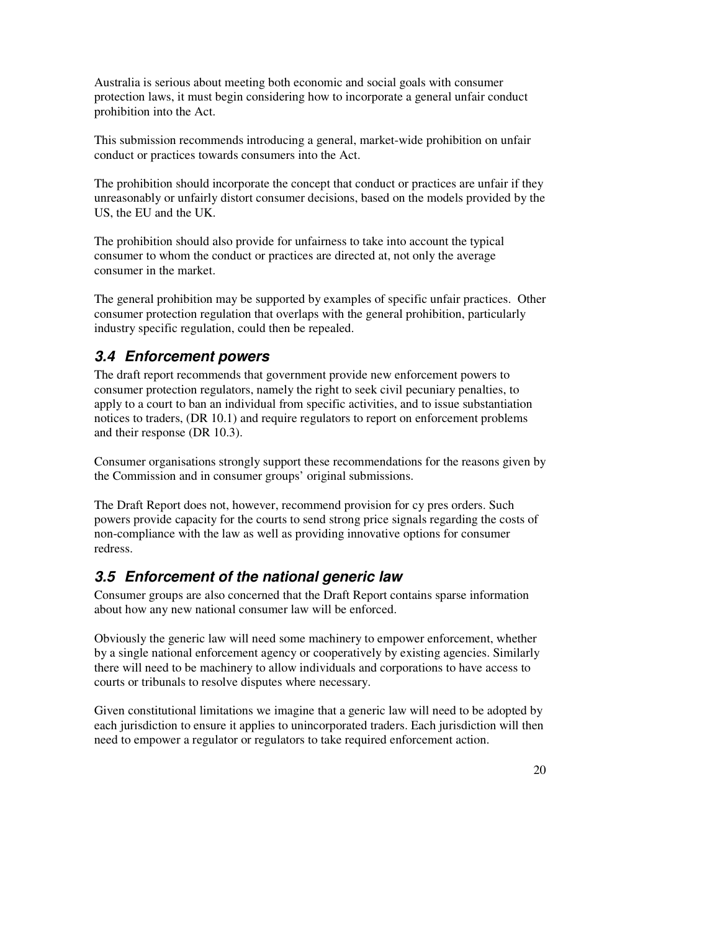Australia is serious about meeting both economic and social goals with consumer protection laws, it must begin considering how to incorporate a general unfair conduct prohibition into the Act.

This submission recommends introducing a general, market-wide prohibition on unfair conduct or practices towards consumers into the Act.

The prohibition should incorporate the concept that conduct or practices are unfair if they unreasonably or unfairly distort consumer decisions, based on the models provided by the US, the EU and the UK.

The prohibition should also provide for unfairness to take into account the typical consumer to whom the conduct or practices are directed at, not only the average consumer in the market.

The general prohibition may be supported by examples of specific unfair practices. Other consumer protection regulation that overlaps with the general prohibition, particularly industry specific regulation, could then be repealed.

## **3.4 Enforcement powers**

The draft report recommends that government provide new enforcement powers to consumer protection regulators, namely the right to seek civil pecuniary penalties, to apply to a court to ban an individual from specific activities, and to issue substantiation notices to traders, (DR 10.1) and require regulators to report on enforcement problems and their response (DR 10.3).

Consumer organisations strongly support these recommendations for the reasons given by the Commission and in consumer groups' original submissions.

The Draft Report does not, however, recommend provision for cy pres orders. Such powers provide capacity for the courts to send strong price signals regarding the costs of non-compliance with the law as well as providing innovative options for consumer redress.

## **3.5 Enforcement of the national generic law**

Consumer groups are also concerned that the Draft Report contains sparse information about how any new national consumer law will be enforced.

Obviously the generic law will need some machinery to empower enforcement, whether by a single national enforcement agency or cooperatively by existing agencies. Similarly there will need to be machinery to allow individuals and corporations to have access to courts or tribunals to resolve disputes where necessary.

Given constitutional limitations we imagine that a generic law will need to be adopted by each jurisdiction to ensure it applies to unincorporated traders. Each jurisdiction will then need to empower a regulator or regulators to take required enforcement action.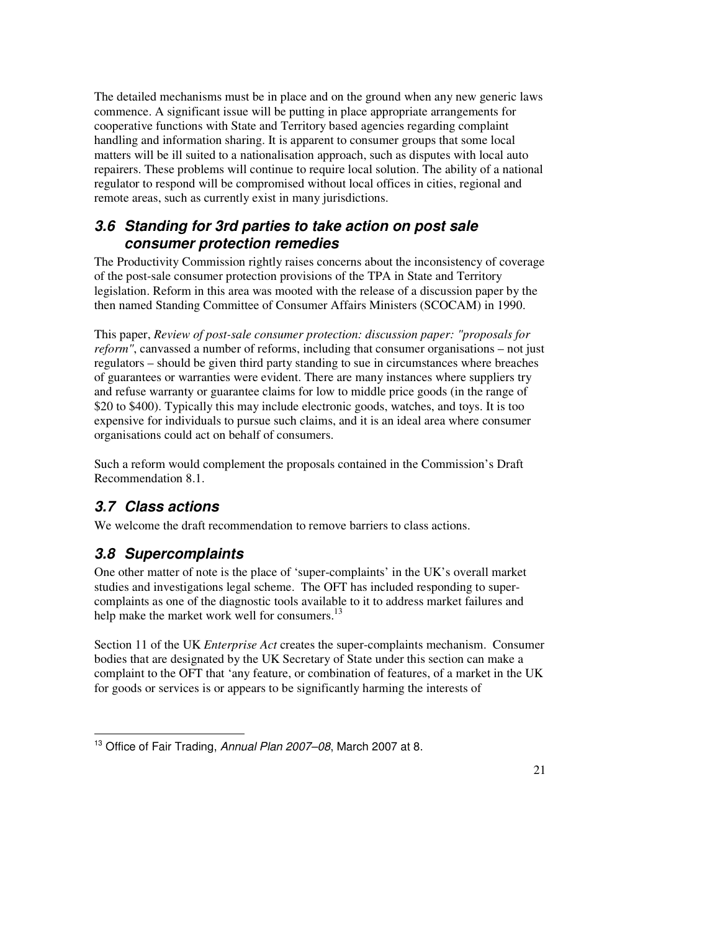The detailed mechanisms must be in place and on the ground when any new generic laws commence. A significant issue will be putting in place appropriate arrangements for cooperative functions with State and Territory based agencies regarding complaint handling and information sharing. It is apparent to consumer groups that some local matters will be ill suited to a nationalisation approach, such as disputes with local auto repairers. These problems will continue to require local solution. The ability of a national regulator to respond will be compromised without local offices in cities, regional and remote areas, such as currently exist in many jurisdictions.

## **3.6 Standing for 3rd parties to take action on post sale consumer protection remedies**

The Productivity Commission rightly raises concerns about the inconsistency of coverage of the post-sale consumer protection provisions of the TPA in State and Territory legislation. Reform in this area was mooted with the release of a discussion paper by the then named Standing Committee of Consumer Affairs Ministers (SCOCAM) in 1990.

This paper, *Review of post-sale consumer protection: discussion paper: "proposals for reform"*, canvassed a number of reforms, including that consumer organisations – not just regulators – should be given third party standing to sue in circumstances where breaches of guarantees or warranties were evident. There are many instances where suppliers try and refuse warranty or guarantee claims for low to middle price goods (in the range of \$20 to \$400). Typically this may include electronic goods, watches, and toys. It is too expensive for individuals to pursue such claims, and it is an ideal area where consumer organisations could act on behalf of consumers.

Such a reform would complement the proposals contained in the Commission's Draft Recommendation 8.1.

## **3.7 Class actions**

We welcome the draft recommendation to remove barriers to class actions.

## **3.8 Supercomplaints**

One other matter of note is the place of 'super-complaints' in the UK's overall market studies and investigations legal scheme. The OFT has included responding to supercomplaints as one of the diagnostic tools available to it to address market failures and help make the market work well for consumers.<sup>13</sup>

Section 11 of the UK *Enterprise Act* creates the super-complaints mechanism. Consumer bodies that are designated by the UK Secretary of State under this section can make a complaint to the OFT that 'any feature, or combination of features, of a market in the UK for goods or services is or appears to be significantly harming the interests of

 $\ddot{ }$ <sup>13</sup> Office of Fair Trading, Annual Plan 2007–08, March 2007 at 8.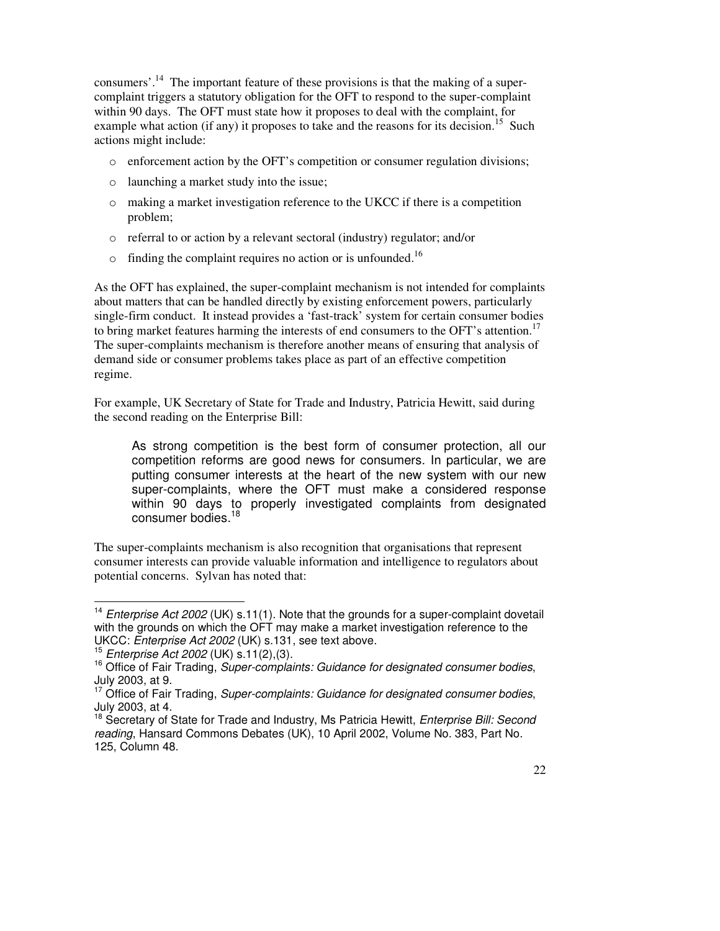consumers'.<sup>14</sup> The important feature of these provisions is that the making of a supercomplaint triggers a statutory obligation for the OFT to respond to the super-complaint within 90 days. The OFT must state how it proposes to deal with the complaint, for example what action (if any) it proposes to take and the reasons for its decision.<sup>15</sup> Such actions might include:

- $\circ$  enforcement action by the OFT's competition or consumer regulation divisions;
- o launching a market study into the issue;
- $\circ$  making a market investigation reference to the UKCC if there is a competition problem;
- o referral to or action by a relevant sectoral (industry) regulator; and/or
- $\circ$  finding the complaint requires no action or is unfounded.<sup>16</sup>

As the OFT has explained, the super-complaint mechanism is not intended for complaints about matters that can be handled directly by existing enforcement powers, particularly single-firm conduct. It instead provides a 'fast-track' system for certain consumer bodies to bring market features harming the interests of end consumers to the OFT's attention.<sup>17</sup> The super-complaints mechanism is therefore another means of ensuring that analysis of demand side or consumer problems takes place as part of an effective competition regime.

For example, UK Secretary of State for Trade and Industry, Patricia Hewitt, said during the second reading on the Enterprise Bill:

As strong competition is the best form of consumer protection, all our competition reforms are good news for consumers. In particular, we are putting consumer interests at the heart of the new system with our new super-complaints, where the OFT must make a considered response within 90 days to properly investigated complaints from designated consumer bodies.<sup>18</sup>

The super-complaints mechanism is also recognition that organisations that represent consumer interests can provide valuable information and intelligence to regulators about potential concerns. Sylvan has noted that:

 $\overline{a}$ <sup>14</sup> Enterprise Act 2002 (UK) s.11(1). Note that the grounds for a super-complaint dovetail with the grounds on which the OFT may make a market investigation reference to the UKCC: Enterprise Act 2002 (UK) s.131, see text above.

<sup>15</sup> Enterprise Act 2002 (UK) s.11(2),(3).

 $16$  Office of Fair Trading, Super-complaints: Guidance for designated consumer bodies, July 2003, at 9.

 $17$  Office of Fair Trading, Super-complaints: Guidance for designated consumer bodies, July 2003, at 4.

<sup>&</sup>lt;sup>18</sup> Secretary of State for Trade and Industry, Ms Patricia Hewitt, *Enterprise Bill: Second* reading, Hansard Commons Debates (UK), 10 April 2002, Volume No. 383, Part No. 125, Column 48.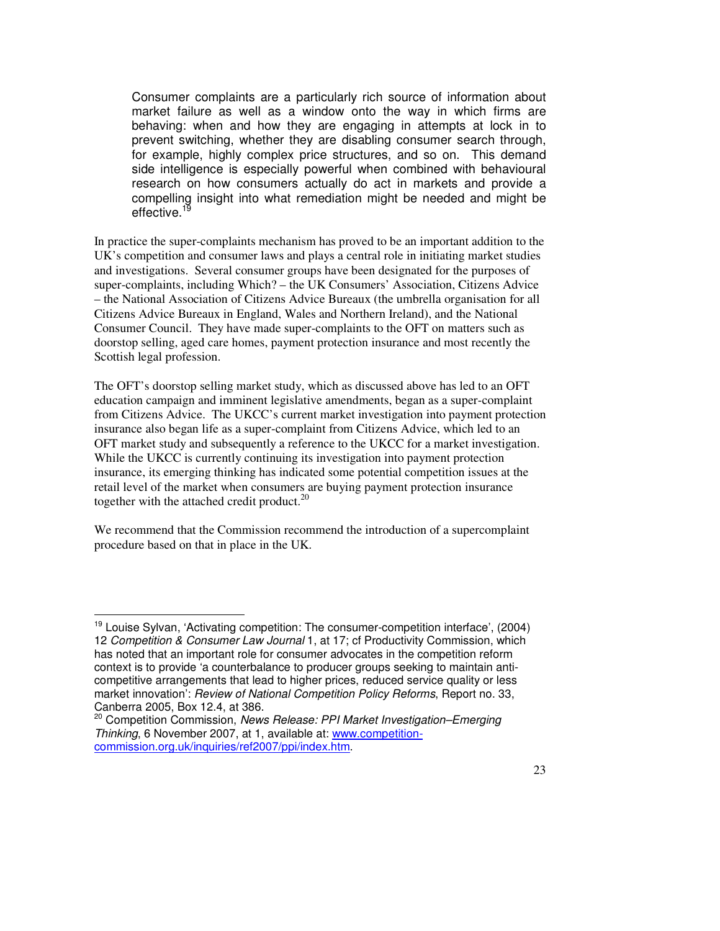Consumer complaints are a particularly rich source of information about market failure as well as a window onto the way in which firms are behaving: when and how they are engaging in attempts at lock in to prevent switching, whether they are disabling consumer search through, for example, highly complex price structures, and so on. This demand side intelligence is especially powerful when combined with behavioural research on how consumers actually do act in markets and provide a compelling insight into what remediation might be needed and might be effective.

In practice the super-complaints mechanism has proved to be an important addition to the UK's competition and consumer laws and plays a central role in initiating market studies and investigations. Several consumer groups have been designated for the purposes of super-complaints, including Which? – the UK Consumers' Association, Citizens Advice – the National Association of Citizens Advice Bureaux (the umbrella organisation for all Citizens Advice Bureaux in England, Wales and Northern Ireland), and the National Consumer Council. They have made super-complaints to the OFT on matters such as doorstop selling, aged care homes, payment protection insurance and most recently the Scottish legal profession.

The OFT's doorstop selling market study, which as discussed above has led to an OFT education campaign and imminent legislative amendments, began as a super-complaint from Citizens Advice. The UKCC's current market investigation into payment protection insurance also began life as a super-complaint from Citizens Advice, which led to an OFT market study and subsequently a reference to the UKCC for a market investigation. While the UKCC is currently continuing its investigation into payment protection insurance, its emerging thinking has indicated some potential competition issues at the retail level of the market when consumers are buying payment protection insurance together with the attached credit product. $^{20}$ 

We recommend that the Commission recommend the introduction of a supercomplaint procedure based on that in place in the UK.

 $\ddot{ }$  $19$  Louise Sylvan, 'Activating competition: The consumer-competition interface', (2004) 12 Competition & Consumer Law Journal 1, at 17; cf Productivity Commission, which has noted that an important role for consumer advocates in the competition reform context is to provide 'a counterbalance to producer groups seeking to maintain anticompetitive arrangements that lead to higher prices, reduced service quality or less market innovation': Review of National Competition Policy Reforms, Report no. 33, Canberra 2005, Box 12.4, at 386.

<sup>&</sup>lt;sup>20</sup> Competition Commission, News Release: PPI Market Investigation–Emerging Thinking, 6 November 2007, at 1, available at: www.competitioncommission.org.uk/inquiries/ref2007/ppi/index.htm.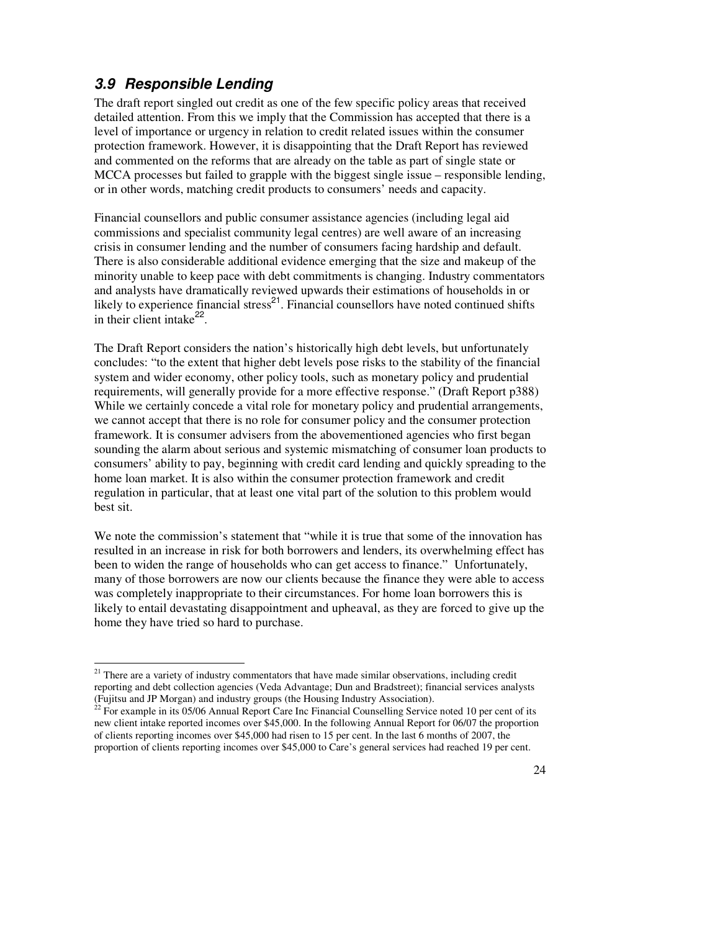## **3.9 Responsible Lending**

 $\overline{a}$ 

The draft report singled out credit as one of the few specific policy areas that received detailed attention. From this we imply that the Commission has accepted that there is a level of importance or urgency in relation to credit related issues within the consumer protection framework. However, it is disappointing that the Draft Report has reviewed and commented on the reforms that are already on the table as part of single state or MCCA processes but failed to grapple with the biggest single issue – responsible lending, or in other words, matching credit products to consumers' needs and capacity.

Financial counsellors and public consumer assistance agencies (including legal aid commissions and specialist community legal centres) are well aware of an increasing crisis in consumer lending and the number of consumers facing hardship and default. There is also considerable additional evidence emerging that the size and makeup of the minority unable to keep pace with debt commitments is changing. Industry commentators and analysts have dramatically reviewed upwards their estimations of households in or likely to experience financial stress<sup>21</sup>. Financial counsellors have noted continued shifts in their client intake $^{22}$ .

The Draft Report considers the nation's historically high debt levels, but unfortunately concludes: "to the extent that higher debt levels pose risks to the stability of the financial system and wider economy, other policy tools, such as monetary policy and prudential requirements, will generally provide for a more effective response." (Draft Report p388) While we certainly concede a vital role for monetary policy and prudential arrangements, we cannot accept that there is no role for consumer policy and the consumer protection framework. It is consumer advisers from the abovementioned agencies who first began sounding the alarm about serious and systemic mismatching of consumer loan products to consumers' ability to pay, beginning with credit card lending and quickly spreading to the home loan market. It is also within the consumer protection framework and credit regulation in particular, that at least one vital part of the solution to this problem would best sit.

We note the commission's statement that "while it is true that some of the innovation has resulted in an increase in risk for both borrowers and lenders, its overwhelming effect has been to widen the range of households who can get access to finance." Unfortunately, many of those borrowers are now our clients because the finance they were able to access was completely inappropriate to their circumstances. For home loan borrowers this is likely to entail devastating disappointment and upheaval, as they are forced to give up the home they have tried so hard to purchase.

<sup>&</sup>lt;sup>21</sup> There are a variety of industry commentators that have made similar observations, including credit reporting and debt collection agencies (Veda Advantage; Dun and Bradstreet); financial services analysts (Fujitsu and JP Morgan) and industry groups (the Housing Industry Association).

 $^{22}$  For example in its 05/06 Annual Report Care Inc Financial Counselling Service noted 10 per cent of its new client intake reported incomes over \$45,000. In the following Annual Report for 06/07 the proportion of clients reporting incomes over \$45,000 had risen to 15 per cent. In the last 6 months of 2007, the proportion of clients reporting incomes over \$45,000 to Care's general services had reached 19 per cent.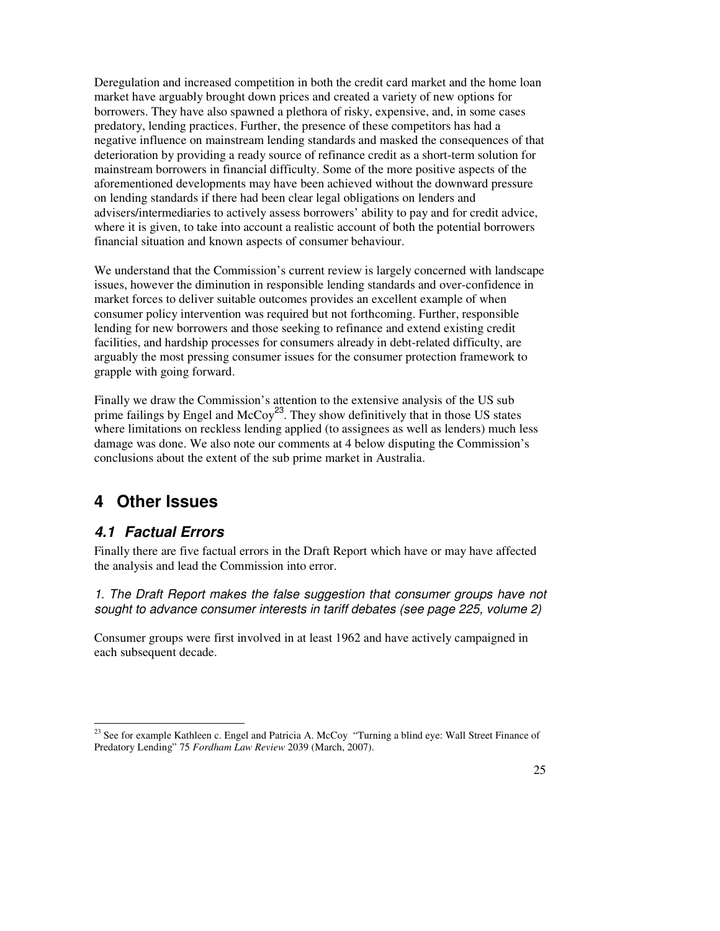Deregulation and increased competition in both the credit card market and the home loan market have arguably brought down prices and created a variety of new options for borrowers. They have also spawned a plethora of risky, expensive, and, in some cases predatory, lending practices. Further, the presence of these competitors has had a negative influence on mainstream lending standards and masked the consequences of that deterioration by providing a ready source of refinance credit as a short-term solution for mainstream borrowers in financial difficulty. Some of the more positive aspects of the aforementioned developments may have been achieved without the downward pressure on lending standards if there had been clear legal obligations on lenders and advisers/intermediaries to actively assess borrowers' ability to pay and for credit advice, where it is given, to take into account a realistic account of both the potential borrowers financial situation and known aspects of consumer behaviour.

We understand that the Commission's current review is largely concerned with landscape issues, however the diminution in responsible lending standards and over-confidence in market forces to deliver suitable outcomes provides an excellent example of when consumer policy intervention was required but not forthcoming. Further, responsible lending for new borrowers and those seeking to refinance and extend existing credit facilities, and hardship processes for consumers already in debt-related difficulty, are arguably the most pressing consumer issues for the consumer protection framework to grapple with going forward.

Finally we draw the Commission's attention to the extensive analysis of the US sub prime failings by Engel and  $\text{McCoy}^{23}$ . They show definitively that in those US states where limitations on reckless lending applied (to assignees as well as lenders) much less damage was done. We also note our comments at 4 below disputing the Commission's conclusions about the extent of the sub prime market in Australia.

## **4 Other Issues**

## **4.1 Factual Errors**

 $\overline{a}$ 

Finally there are five factual errors in the Draft Report which have or may have affected the analysis and lead the Commission into error.

1. The Draft Report makes the false suggestion that consumer groups have not sought to advance consumer interests in tariff debates (see page 225, volume 2)

Consumer groups were first involved in at least 1962 and have actively campaigned in each subsequent decade.

<sup>&</sup>lt;sup>23</sup> See for example Kathleen c. Engel and Patricia A. McCoy "Turning a blind eye: Wall Street Finance of Predatory Lending" 75 *Fordham Law Review* 2039 (March, 2007).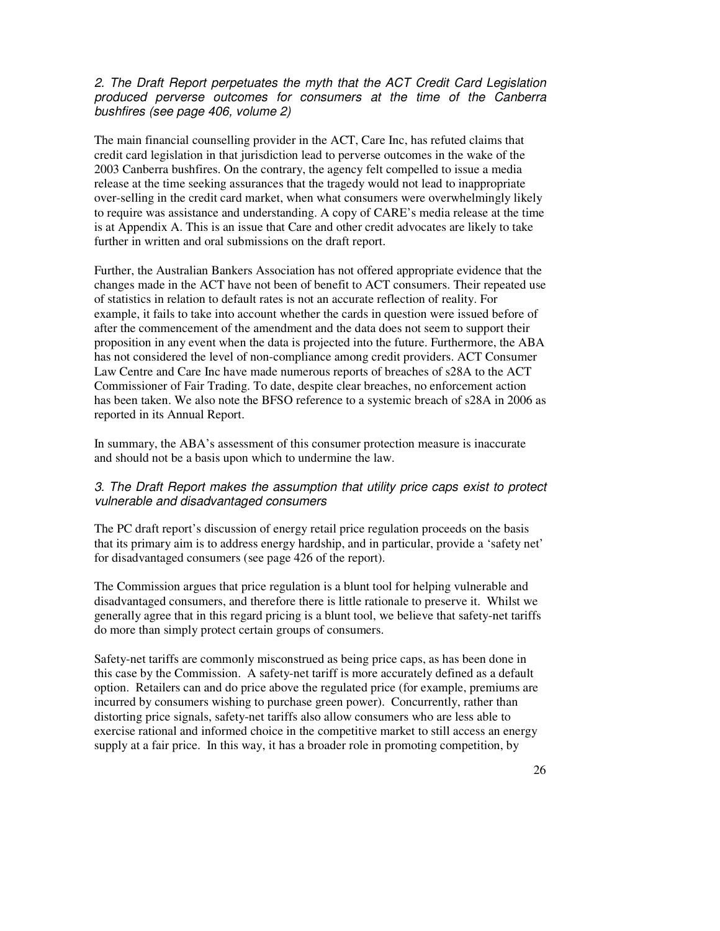### 2. The Draft Report perpetuates the myth that the ACT Credit Card Legislation produced perverse outcomes for consumers at the time of the Canberra bushfires (see page 406, volume 2)

The main financial counselling provider in the ACT, Care Inc, has refuted claims that credit card legislation in that jurisdiction lead to perverse outcomes in the wake of the 2003 Canberra bushfires. On the contrary, the agency felt compelled to issue a media release at the time seeking assurances that the tragedy would not lead to inappropriate over-selling in the credit card market, when what consumers were overwhelmingly likely to require was assistance and understanding. A copy of CARE's media release at the time is at Appendix A. This is an issue that Care and other credit advocates are likely to take further in written and oral submissions on the draft report.

Further, the Australian Bankers Association has not offered appropriate evidence that the changes made in the ACT have not been of benefit to ACT consumers. Their repeated use of statistics in relation to default rates is not an accurate reflection of reality. For example, it fails to take into account whether the cards in question were issued before of after the commencement of the amendment and the data does not seem to support their proposition in any event when the data is projected into the future. Furthermore, the ABA has not considered the level of non-compliance among credit providers. ACT Consumer Law Centre and Care Inc have made numerous reports of breaches of s28A to the ACT Commissioner of Fair Trading. To date, despite clear breaches, no enforcement action has been taken. We also note the BFSO reference to a systemic breach of s28A in 2006 as reported in its Annual Report.

In summary, the ABA's assessment of this consumer protection measure is inaccurate and should not be a basis upon which to undermine the law.

### 3. The Draft Report makes the assumption that utility price caps exist to protect vulnerable and disadvantaged consumers

The PC draft report's discussion of energy retail price regulation proceeds on the basis that its primary aim is to address energy hardship, and in particular, provide a 'safety net' for disadvantaged consumers (see page 426 of the report).

The Commission argues that price regulation is a blunt tool for helping vulnerable and disadvantaged consumers, and therefore there is little rationale to preserve it. Whilst we generally agree that in this regard pricing is a blunt tool, we believe that safety-net tariffs do more than simply protect certain groups of consumers.

Safety-net tariffs are commonly misconstrued as being price caps, as has been done in this case by the Commission. A safety-net tariff is more accurately defined as a default option. Retailers can and do price above the regulated price (for example, premiums are incurred by consumers wishing to purchase green power). Concurrently, rather than distorting price signals, safety-net tariffs also allow consumers who are less able to exercise rational and informed choice in the competitive market to still access an energy supply at a fair price. In this way, it has a broader role in promoting competition, by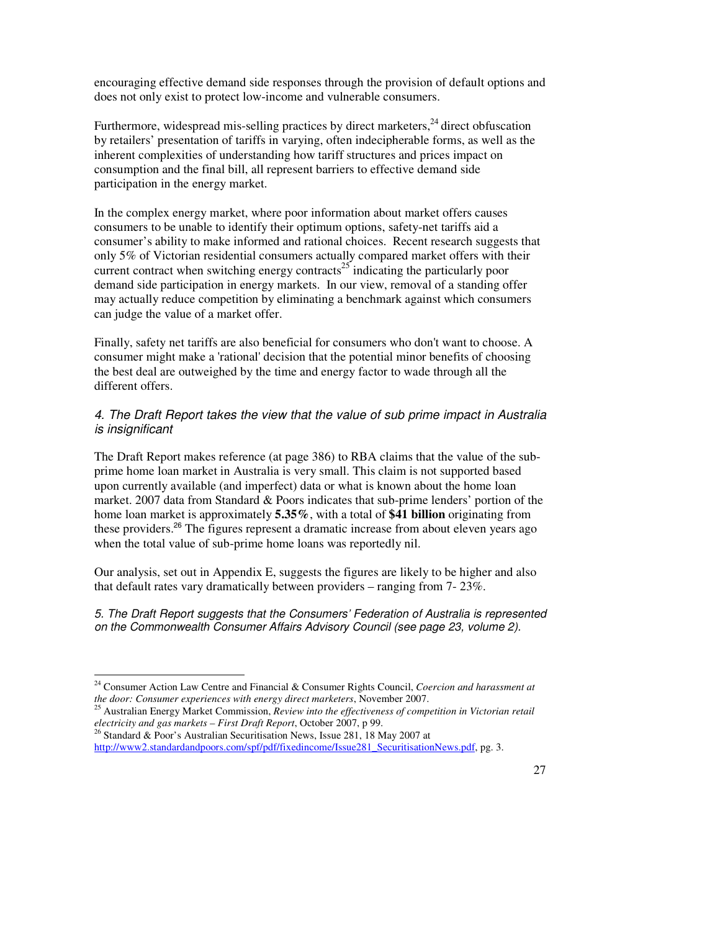encouraging effective demand side responses through the provision of default options and does not only exist to protect low-income and vulnerable consumers.

Furthermore, widespread mis-selling practices by direct marketers, $24$  direct obfuscation by retailers' presentation of tariffs in varying, often indecipherable forms, as well as the inherent complexities of understanding how tariff structures and prices impact on consumption and the final bill, all represent barriers to effective demand side participation in the energy market.

In the complex energy market, where poor information about market offers causes consumers to be unable to identify their optimum options, safety-net tariffs aid a consumer's ability to make informed and rational choices. Recent research suggests that only 5% of Victorian residential consumers actually compared market offers with their current contract when switching energy contracts<sup>25</sup> indicating the particularly poor demand side participation in energy markets. In our view, removal of a standing offer may actually reduce competition by eliminating a benchmark against which consumers can judge the value of a market offer.

Finally, safety net tariffs are also beneficial for consumers who don't want to choose. A consumer might make a 'rational' decision that the potential minor benefits of choosing the best deal are outweighed by the time and energy factor to wade through all the different offers.

### 4. The Draft Report takes the view that the value of sub prime impact in Australia is insignificant

The Draft Report makes reference (at page 386) to RBA claims that the value of the subprime home loan market in Australia is very small. This claim is not supported based upon currently available (and imperfect) data or what is known about the home loan market. 2007 data from Standard & Poors indicates that sub-prime lenders' portion of the home loan market is approximately **5.35%**, with a total of **\$41 billion** originating from these providers.<sup>26</sup> The figures represent a dramatic increase from about eleven years ago when the total value of sub-prime home loans was reportedly nil.

Our analysis, set out in Appendix E, suggests the figures are likely to be higher and also that default rates vary dramatically between providers – ranging from 7- 23%.

5. The Draft Report suggests that the Consumers' Federation of Australia is represented on the Commonwealth Consumer Affairs Advisory Council (see page 23, volume 2).

 $\overline{a}$ 

<sup>24</sup> Consumer Action Law Centre and Financial & Consumer Rights Council, *Coercion and harassment at the door: Consumer experiences with energy direct marketers*, November 2007.

<sup>25</sup> Australian Energy Market Commission, *Review into the effectiveness of competition in Victorian retail electricity and gas markets – First Draft Report*, October 2007, p 99.

<sup>&</sup>lt;sup>26</sup> Standard & Poor's Australian Securitisation News, Issue 281, 18 May 2007 at http://www2.standardandpoors.com/spf/pdf/fixedincome/Issue281\_SecuritisationNews.pdf, pg. 3.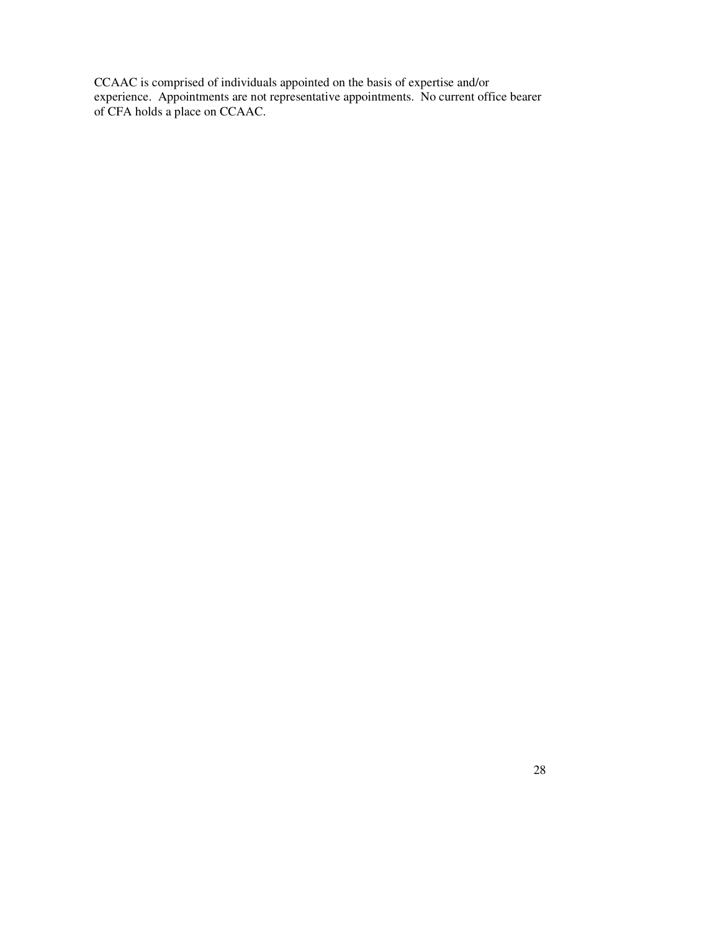CCAAC is comprised of individuals appointed on the basis of expertise and/or experience. Appointments are not representative appointments. No current office bearer of CFA holds a place on CCAAC.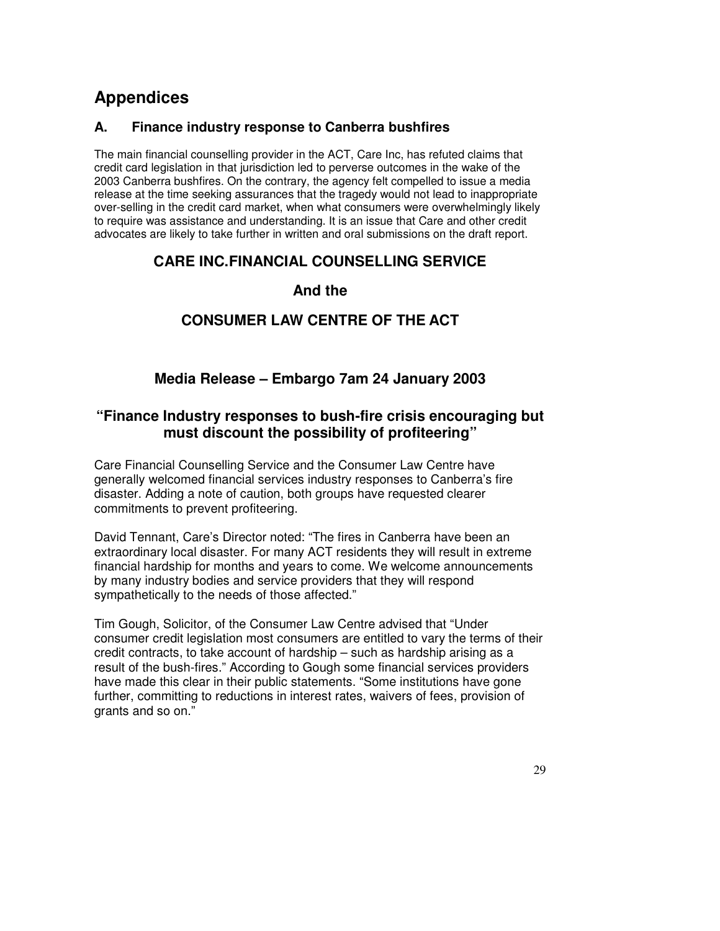# **Appendices**

### **A. Finance industry response to Canberra bushfires**

The main financial counselling provider in the ACT, Care Inc, has refuted claims that credit card legislation in that jurisdiction led to perverse outcomes in the wake of the 2003 Canberra bushfires. On the contrary, the agency felt compelled to issue a media release at the time seeking assurances that the tragedy would not lead to inappropriate over-selling in the credit card market, when what consumers were overwhelmingly likely to require was assistance and understanding. It is an issue that Care and other credit advocates are likely to take further in written and oral submissions on the draft report.

## **CARE INC. FINANCIAL COUNSELLING SERVICE**

## **And the**

## **CONSUMER LAW CENTRE OF THE ACT**

## **Media Release – Embargo 7am 24 January 2003**

## **"Finance Industry responses to bush-fire crisis encouraging but must discount the possibility of profiteering"**

Care Financial Counselling Service and the Consumer Law Centre have generally welcomed financial services industry responses to Canberra's fire disaster. Adding a note of caution, both groups have requested clearer commitments to prevent profiteering.

David Tennant, Care's Director noted: "The fires in Canberra have been an extraordinary local disaster. For many ACT residents they will result in extreme financial hardship for months and years to come. We welcome announcements by many industry bodies and service providers that they will respond sympathetically to the needs of those affected."

Tim Gough, Solicitor, of the Consumer Law Centre advised that "Under consumer credit legislation most consumers are entitled to vary the terms of their credit contracts, to take account of hardship – such as hardship arising as a result of the bush-fires." According to Gough some financial services providers have made this clear in their public statements. "Some institutions have gone further, committing to reductions in interest rates, waivers of fees, provision of grants and so on."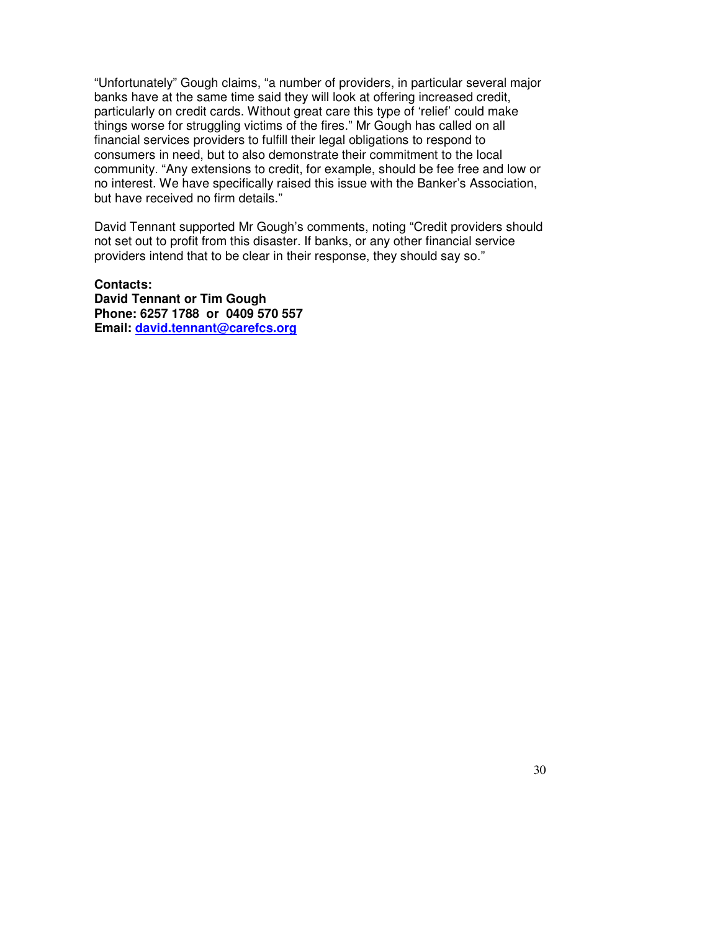"Unfortunately" Gough claims, "a number of providers, in particular several major banks have at the same time said they will look at offering increased credit, particularly on credit cards. Without great care this type of 'relief' could make things worse for struggling victims of the fires." Mr Gough has called on all financial services providers to fulfill their legal obligations to respond to consumers in need, but to also demonstrate their commitment to the local community. "Any extensions to credit, for example, should be fee free and low or no interest. We have specifically raised this issue with the Banker's Association, but have received no firm details."

David Tennant supported Mr Gough's comments, noting "Credit providers should not set out to profit from this disaster. If banks, or any other financial service providers intend that to be clear in their response, they should say so."

**Contacts: David Tennant or Tim Gough Phone: 6257 1788 or 0409 570 557 Email: david.tennant@carefcs.org**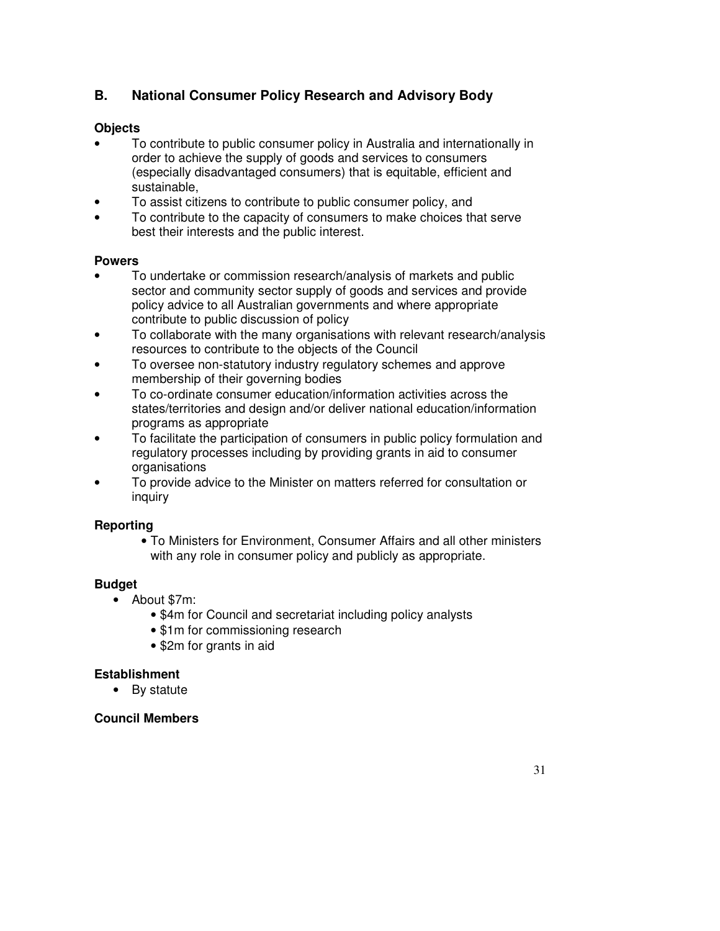## **B. National Consumer Policy Research and Advisory Body**

### **Objects**

- To contribute to public consumer policy in Australia and internationally in order to achieve the supply of goods and services to consumers (especially disadvantaged consumers) that is equitable, efficient and sustainable,
- To assist citizens to contribute to public consumer policy, and
- To contribute to the capacity of consumers to make choices that serve best their interests and the public interest.

### **Powers**

- To undertake or commission research/analysis of markets and public sector and community sector supply of goods and services and provide policy advice to all Australian governments and where appropriate contribute to public discussion of policy
- To collaborate with the many organisations with relevant research/analysis resources to contribute to the objects of the Council
- To oversee non-statutory industry regulatory schemes and approve membership of their governing bodies
- To co-ordinate consumer education/information activities across the states/territories and design and/or deliver national education/information programs as appropriate
- To facilitate the participation of consumers in public policy formulation and regulatory processes including by providing grants in aid to consumer organisations
- To provide advice to the Minister on matters referred for consultation or inquiry

### **Reporting**

• To Ministers for Environment, Consumer Affairs and all other ministers with any role in consumer policy and publicly as appropriate.

### **Budget**

- About \$7m:
	- \$4m for Council and secretariat including policy analysts
	- \$1m for commissioning research
	- \$2m for grants in aid

### **Establishment**

• By statute

### **Council Members**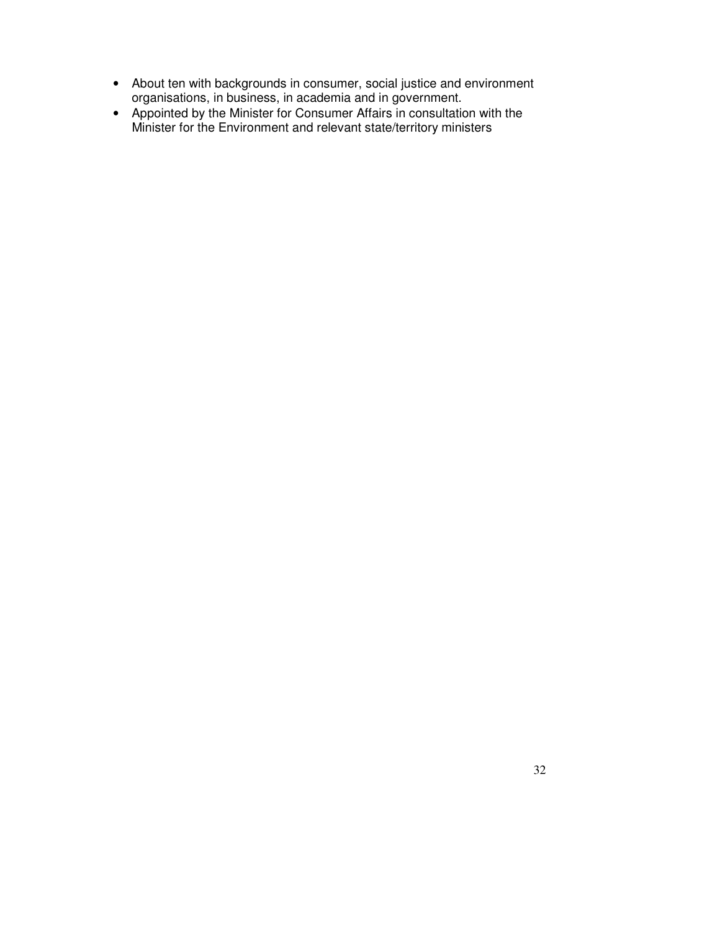- About ten with backgrounds in consumer, social justice and environment organisations, in business, in academia and in government.
- Appointed by the Minister for Consumer Affairs in consultation with the Minister for the Environment and relevant state/territory ministers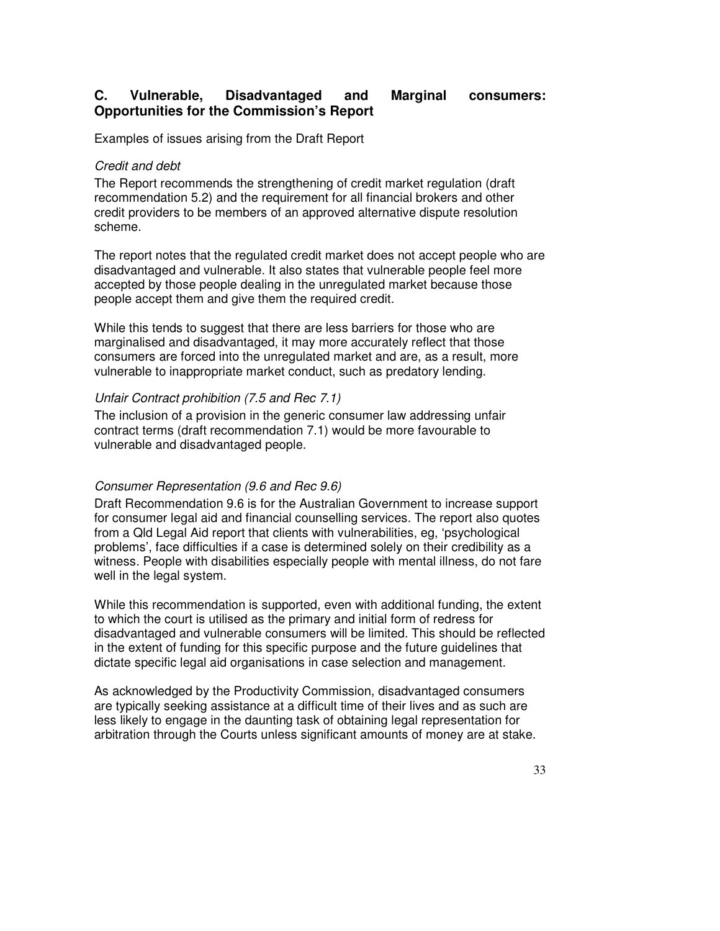## **C. Vulnerable, Disadvantaged and Marginal consumers: Opportunities for the Commission's Report**

Examples of issues arising from the Draft Report

### Credit and debt

The Report recommends the strengthening of credit market regulation (draft recommendation 5.2) and the requirement for all financial brokers and other credit providers to be members of an approved alternative dispute resolution scheme.

The report notes that the regulated credit market does not accept people who are disadvantaged and vulnerable. It also states that vulnerable people feel more accepted by those people dealing in the unregulated market because those people accept them and give them the required credit.

While this tends to suggest that there are less barriers for those who are marginalised and disadvantaged, it may more accurately reflect that those consumers are forced into the unregulated market and are, as a result, more vulnerable to inappropriate market conduct, such as predatory lending.

### Unfair Contract prohibition (7.5 and Rec 7.1)

The inclusion of a provision in the generic consumer law addressing unfair contract terms (draft recommendation 7.1) would be more favourable to vulnerable and disadvantaged people.

### Consumer Representation (9.6 and Rec 9.6)

Draft Recommendation 9.6 is for the Australian Government to increase support for consumer legal aid and financial counselling services. The report also quotes from a Qld Legal Aid report that clients with vulnerabilities, eg, 'psychological problems', face difficulties if a case is determined solely on their credibility as a witness. People with disabilities especially people with mental illness, do not fare well in the legal system.

While this recommendation is supported, even with additional funding, the extent to which the court is utilised as the primary and initial form of redress for disadvantaged and vulnerable consumers will be limited. This should be reflected in the extent of funding for this specific purpose and the future guidelines that dictate specific legal aid organisations in case selection and management.

As acknowledged by the Productivity Commission, disadvantaged consumers are typically seeking assistance at a difficult time of their lives and as such are less likely to engage in the daunting task of obtaining legal representation for arbitration through the Courts unless significant amounts of money are at stake.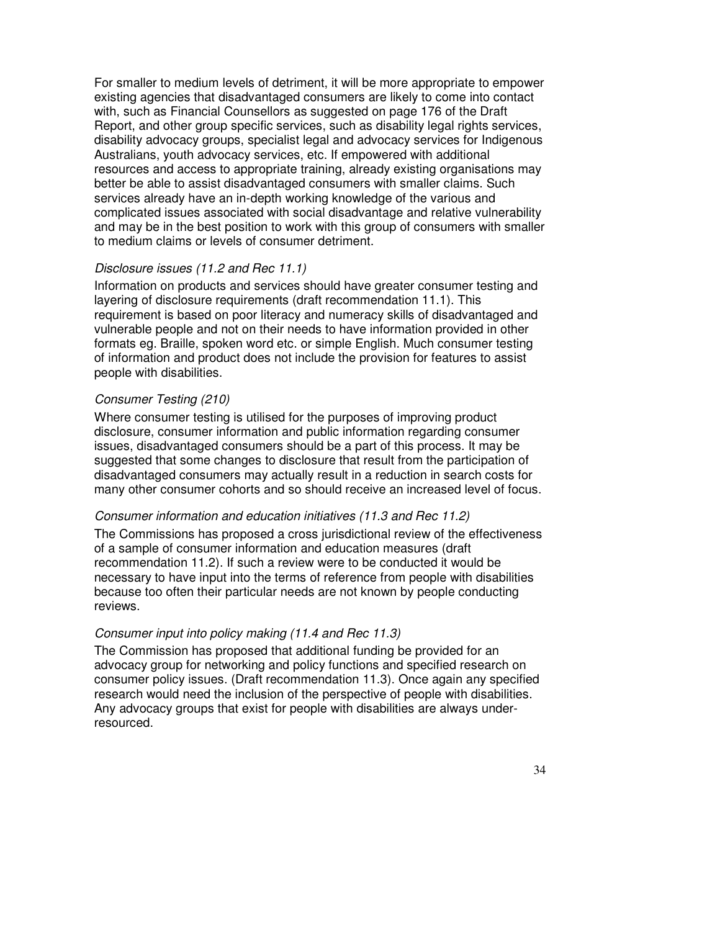For smaller to medium levels of detriment, it will be more appropriate to empower existing agencies that disadvantaged consumers are likely to come into contact with, such as Financial Counsellors as suggested on page 176 of the Draft Report, and other group specific services, such as disability legal rights services, disability advocacy groups, specialist legal and advocacy services for Indigenous Australians, youth advocacy services, etc. If empowered with additional resources and access to appropriate training, already existing organisations may better be able to assist disadvantaged consumers with smaller claims. Such services already have an in-depth working knowledge of the various and complicated issues associated with social disadvantage and relative vulnerability and may be in the best position to work with this group of consumers with smaller to medium claims or levels of consumer detriment.

### Disclosure issues (11.2 and Rec 11.1)

Information on products and services should have greater consumer testing and layering of disclosure requirements (draft recommendation 11.1). This requirement is based on poor literacy and numeracy skills of disadvantaged and vulnerable people and not on their needs to have information provided in other formats eg. Braille, spoken word etc. or simple English. Much consumer testing of information and product does not include the provision for features to assist people with disabilities.

### Consumer Testing (210)

Where consumer testing is utilised for the purposes of improving product disclosure, consumer information and public information regarding consumer issues, disadvantaged consumers should be a part of this process. It may be suggested that some changes to disclosure that result from the participation of disadvantaged consumers may actually result in a reduction in search costs for many other consumer cohorts and so should receive an increased level of focus.

### Consumer information and education initiatives (11.3 and Rec 11.2)

The Commissions has proposed a cross jurisdictional review of the effectiveness of a sample of consumer information and education measures (draft recommendation 11.2). If such a review were to be conducted it would be necessary to have input into the terms of reference from people with disabilities because too often their particular needs are not known by people conducting reviews.

### Consumer input into policy making (11.4 and Rec 11.3)

The Commission has proposed that additional funding be provided for an advocacy group for networking and policy functions and specified research on consumer policy issues. (Draft recommendation 11.3). Once again any specified research would need the inclusion of the perspective of people with disabilities. Any advocacy groups that exist for people with disabilities are always underresourced.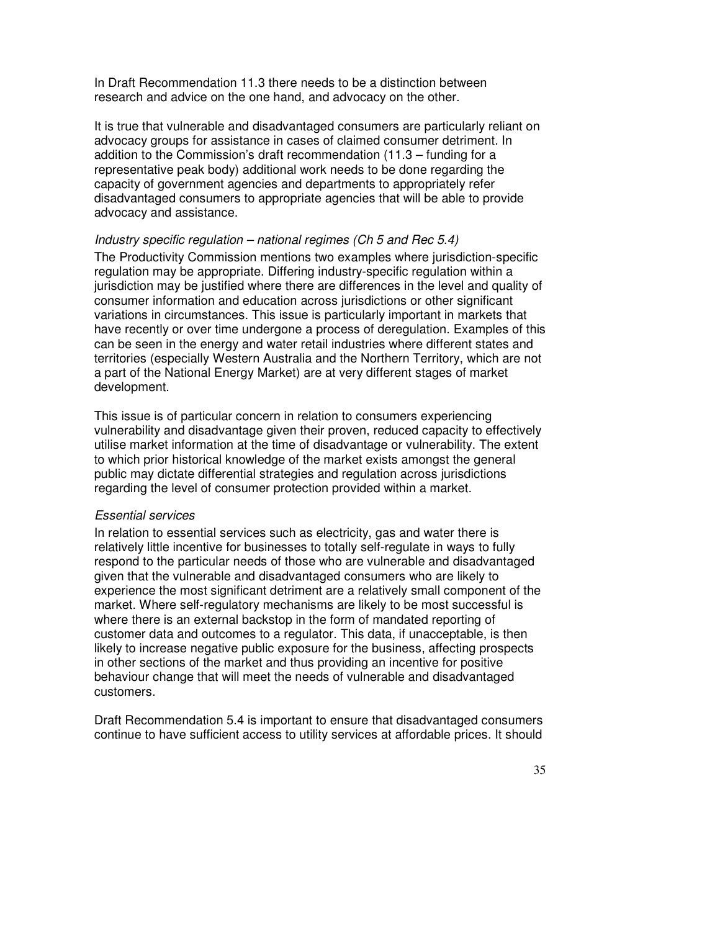In Draft Recommendation 11.3 there needs to be a distinction between research and advice on the one hand, and advocacy on the other.

It is true that vulnerable and disadvantaged consumers are particularly reliant on advocacy groups for assistance in cases of claimed consumer detriment. In addition to the Commission's draft recommendation (11.3 – funding for a representative peak body) additional work needs to be done regarding the capacity of government agencies and departments to appropriately refer disadvantaged consumers to appropriate agencies that will be able to provide advocacy and assistance.

### Industry specific regulation – national regimes (Ch  $5$  and Rec  $5.4$ )

The Productivity Commission mentions two examples where jurisdiction-specific regulation may be appropriate. Differing industry-specific regulation within a jurisdiction may be justified where there are differences in the level and quality of consumer information and education across jurisdictions or other significant variations in circumstances. This issue is particularly important in markets that have recently or over time undergone a process of deregulation. Examples of this can be seen in the energy and water retail industries where different states and territories (especially Western Australia and the Northern Territory, which are not a part of the National Energy Market) are at very different stages of market development.

This issue is of particular concern in relation to consumers experiencing vulnerability and disadvantage given their proven, reduced capacity to effectively utilise market information at the time of disadvantage or vulnerability. The extent to which prior historical knowledge of the market exists amongst the general public may dictate differential strategies and regulation across jurisdictions regarding the level of consumer protection provided within a market.

### Essential services

In relation to essential services such as electricity, gas and water there is relatively little incentive for businesses to totally self-regulate in ways to fully respond to the particular needs of those who are vulnerable and disadvantaged given that the vulnerable and disadvantaged consumers who are likely to experience the most significant detriment are a relatively small component of the market. Where self-regulatory mechanisms are likely to be most successful is where there is an external backstop in the form of mandated reporting of customer data and outcomes to a regulator. This data, if unacceptable, is then likely to increase negative public exposure for the business, affecting prospects in other sections of the market and thus providing an incentive for positive behaviour change that will meet the needs of vulnerable and disadvantaged customers.

Draft Recommendation 5.4 is important to ensure that disadvantaged consumers continue to have sufficient access to utility services at affordable prices. It should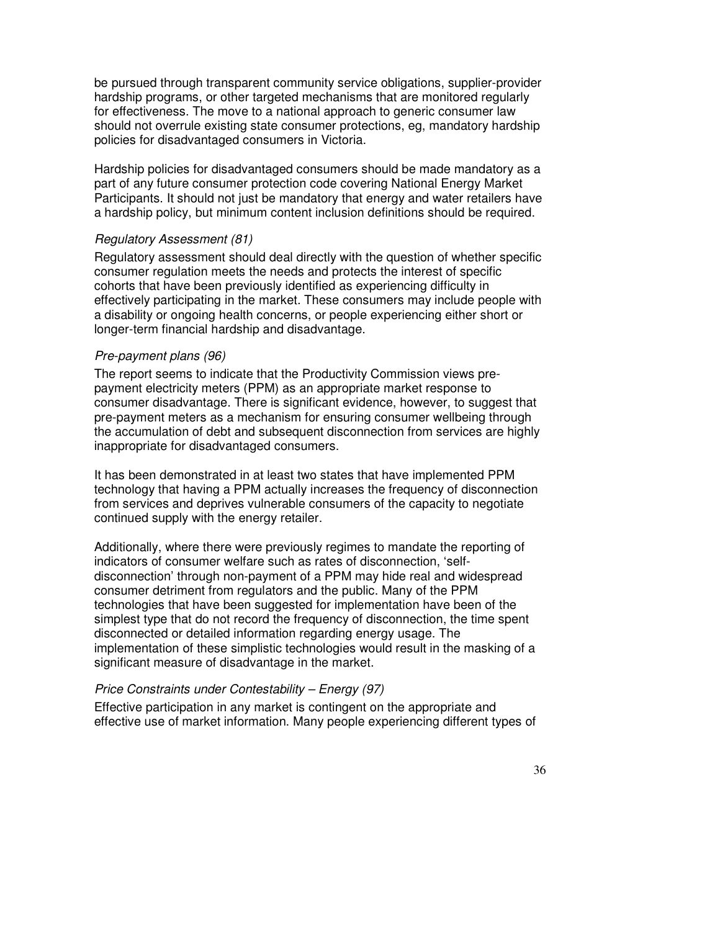be pursued through transparent community service obligations, supplier-provider hardship programs, or other targeted mechanisms that are monitored regularly for effectiveness. The move to a national approach to generic consumer law should not overrule existing state consumer protections, eg, mandatory hardship policies for disadvantaged consumers in Victoria.

Hardship policies for disadvantaged consumers should be made mandatory as a part of any future consumer protection code covering National Energy Market Participants. It should not just be mandatory that energy and water retailers have a hardship policy, but minimum content inclusion definitions should be required.

### Regulatory Assessment (81)

Regulatory assessment should deal directly with the question of whether specific consumer regulation meets the needs and protects the interest of specific cohorts that have been previously identified as experiencing difficulty in effectively participating in the market. These consumers may include people with a disability or ongoing health concerns, or people experiencing either short or longer-term financial hardship and disadvantage.

### Pre-payment plans (96)

The report seems to indicate that the Productivity Commission views prepayment electricity meters (PPM) as an appropriate market response to consumer disadvantage. There is significant evidence, however, to suggest that pre-payment meters as a mechanism for ensuring consumer wellbeing through the accumulation of debt and subsequent disconnection from services are highly inappropriate for disadvantaged consumers.

It has been demonstrated in at least two states that have implemented PPM technology that having a PPM actually increases the frequency of disconnection from services and deprives vulnerable consumers of the capacity to negotiate continued supply with the energy retailer.

Additionally, where there were previously regimes to mandate the reporting of indicators of consumer welfare such as rates of disconnection, 'selfdisconnection' through non-payment of a PPM may hide real and widespread consumer detriment from regulators and the public. Many of the PPM technologies that have been suggested for implementation have been of the simplest type that do not record the frequency of disconnection, the time spent disconnected or detailed information regarding energy usage. The implementation of these simplistic technologies would result in the masking of a significant measure of disadvantage in the market.

### Price Constraints under Contestability – Energy (97)

Effective participation in any market is contingent on the appropriate and effective use of market information. Many people experiencing different types of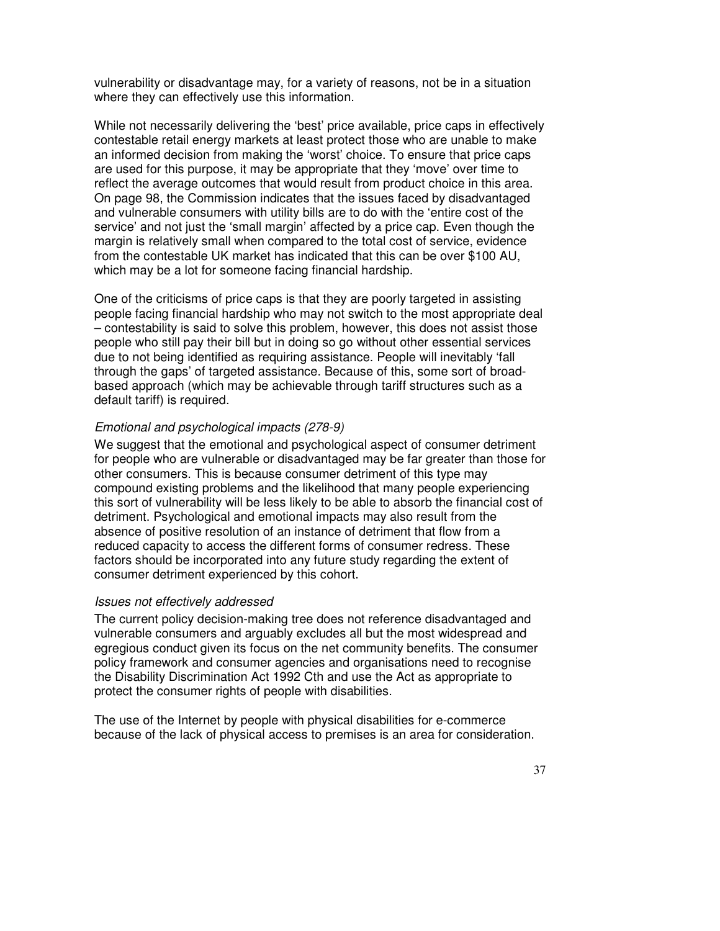vulnerability or disadvantage may, for a variety of reasons, not be in a situation where they can effectively use this information.

While not necessarily delivering the 'best' price available, price caps in effectively contestable retail energy markets at least protect those who are unable to make an informed decision from making the 'worst' choice. To ensure that price caps are used for this purpose, it may be appropriate that they 'move' over time to reflect the average outcomes that would result from product choice in this area. On page 98, the Commission indicates that the issues faced by disadvantaged and vulnerable consumers with utility bills are to do with the 'entire cost of the service' and not just the 'small margin' affected by a price cap. Even though the margin is relatively small when compared to the total cost of service, evidence from the contestable UK market has indicated that this can be over \$100 AU, which may be a lot for someone facing financial hardship.

One of the criticisms of price caps is that they are poorly targeted in assisting people facing financial hardship who may not switch to the most appropriate deal – contestability is said to solve this problem, however, this does not assist those people who still pay their bill but in doing so go without other essential services due to not being identified as requiring assistance. People will inevitably 'fall through the gaps' of targeted assistance. Because of this, some sort of broadbased approach (which may be achievable through tariff structures such as a default tariff) is required.

### Emotional and psychological impacts (278-9)

We suggest that the emotional and psychological aspect of consumer detriment for people who are vulnerable or disadvantaged may be far greater than those for other consumers. This is because consumer detriment of this type may compound existing problems and the likelihood that many people experiencing this sort of vulnerability will be less likely to be able to absorb the financial cost of detriment. Psychological and emotional impacts may also result from the absence of positive resolution of an instance of detriment that flow from a reduced capacity to access the different forms of consumer redress. These factors should be incorporated into any future study regarding the extent of consumer detriment experienced by this cohort.

### Issues not effectively addressed

The current policy decision-making tree does not reference disadvantaged and vulnerable consumers and arguably excludes all but the most widespread and egregious conduct given its focus on the net community benefits. The consumer policy framework and consumer agencies and organisations need to recognise the Disability Discrimination Act 1992 Cth and use the Act as appropriate to protect the consumer rights of people with disabilities.

The use of the Internet by people with physical disabilities for e-commerce because of the lack of physical access to premises is an area for consideration.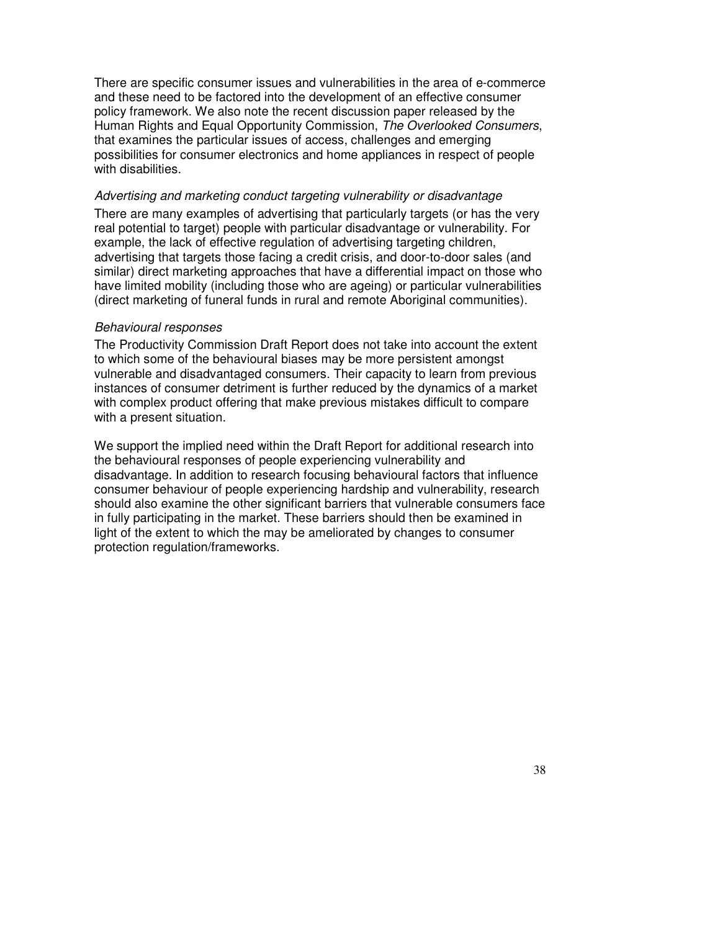There are specific consumer issues and vulnerabilities in the area of e-commerce and these need to be factored into the development of an effective consumer policy framework. We also note the recent discussion paper released by the Human Rights and Equal Opportunity Commission, The Overlooked Consumers, that examines the particular issues of access, challenges and emerging possibilities for consumer electronics and home appliances in respect of people with disabilities.

#### Advertising and marketing conduct targeting vulnerability or disadvantage

There are many examples of advertising that particularly targets (or has the very real potential to target) people with particular disadvantage or vulnerability. For example, the lack of effective regulation of advertising targeting children, advertising that targets those facing a credit crisis, and door-to-door sales (and similar) direct marketing approaches that have a differential impact on those who have limited mobility (including those who are ageing) or particular vulnerabilities (direct marketing of funeral funds in rural and remote Aboriginal communities).

#### Behavioural responses

The Productivity Commission Draft Report does not take into account the extent to which some of the behavioural biases may be more persistent amongst vulnerable and disadvantaged consumers. Their capacity to learn from previous instances of consumer detriment is further reduced by the dynamics of a market with complex product offering that make previous mistakes difficult to compare with a present situation.

We support the implied need within the Draft Report for additional research into the behavioural responses of people experiencing vulnerability and disadvantage. In addition to research focusing behavioural factors that influence consumer behaviour of people experiencing hardship and vulnerability, research should also examine the other significant barriers that vulnerable consumers face in fully participating in the market. These barriers should then be examined in light of the extent to which the may be ameliorated by changes to consumer protection regulation/frameworks.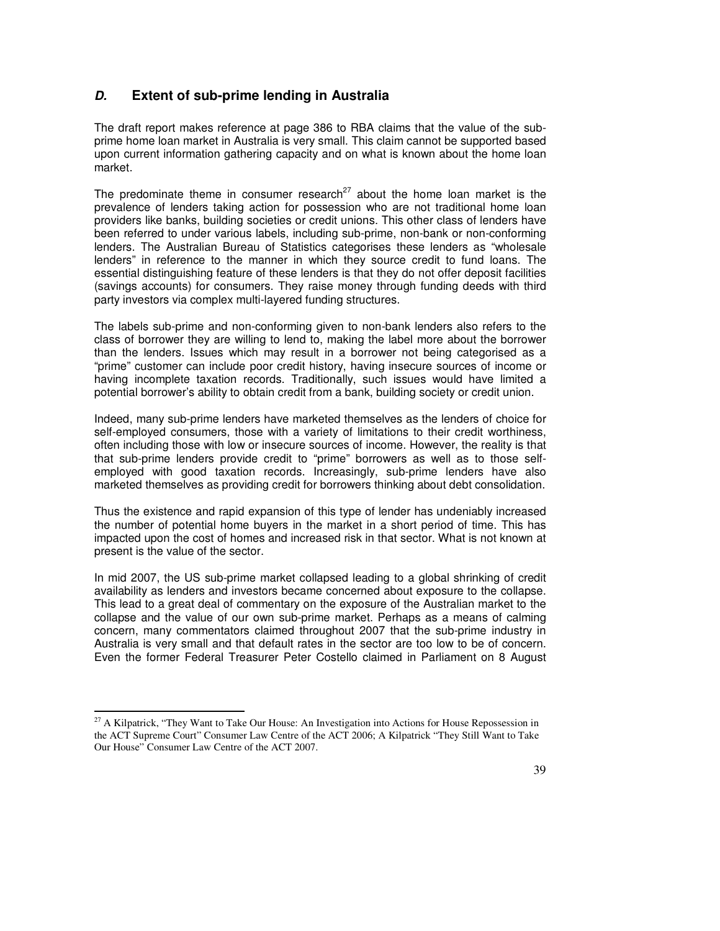### **D. Extent of sub-prime lending in Australia**

The draft report makes reference at page 386 to RBA claims that the value of the subprime home loan market in Australia is very small. This claim cannot be supported based upon current information gathering capacity and on what is known about the home loan market.

The predominate theme in consumer research<sup>27</sup> about the home loan market is the prevalence of lenders taking action for possession who are not traditional home loan providers like banks, building societies or credit unions. This other class of lenders have been referred to under various labels, including sub-prime, non-bank or non-conforming lenders. The Australian Bureau of Statistics categorises these lenders as "wholesale lenders" in reference to the manner in which they source credit to fund loans. The essential distinguishing feature of these lenders is that they do not offer deposit facilities (savings accounts) for consumers. They raise money through funding deeds with third party investors via complex multi-layered funding structures.

The labels sub-prime and non-conforming given to non-bank lenders also refers to the class of borrower they are willing to lend to, making the label more about the borrower than the lenders. Issues which may result in a borrower not being categorised as a "prime" customer can include poor credit history, having insecure sources of income or having incomplete taxation records. Traditionally, such issues would have limited a potential borrower's ability to obtain credit from a bank, building society or credit union.

Indeed, many sub-prime lenders have marketed themselves as the lenders of choice for self-employed consumers, those with a variety of limitations to their credit worthiness, often including those with low or insecure sources of income. However, the reality is that that sub-prime lenders provide credit to "prime" borrowers as well as to those selfemployed with good taxation records. Increasingly, sub-prime lenders have also marketed themselves as providing credit for borrowers thinking about debt consolidation.

Thus the existence and rapid expansion of this type of lender has undeniably increased the number of potential home buyers in the market in a short period of time. This has impacted upon the cost of homes and increased risk in that sector. What is not known at present is the value of the sector.

In mid 2007, the US sub-prime market collapsed leading to a global shrinking of credit availability as lenders and investors became concerned about exposure to the collapse. This lead to a great deal of commentary on the exposure of the Australian market to the collapse and the value of our own sub-prime market. Perhaps as a means of calming concern, many commentators claimed throughout 2007 that the sub-prime industry in Australia is very small and that default rates in the sector are too low to be of concern. Even the former Federal Treasurer Peter Costello claimed in Parliament on 8 August

 $\overline{a}$ 

<sup>&</sup>lt;sup>27</sup> A Kilpatrick, "They Want to Take Our House: An Investigation into Actions for House Repossession in the ACT Supreme Court" Consumer Law Centre of the ACT 2006; A Kilpatrick "They Still Want to Take Our House" Consumer Law Centre of the ACT 2007.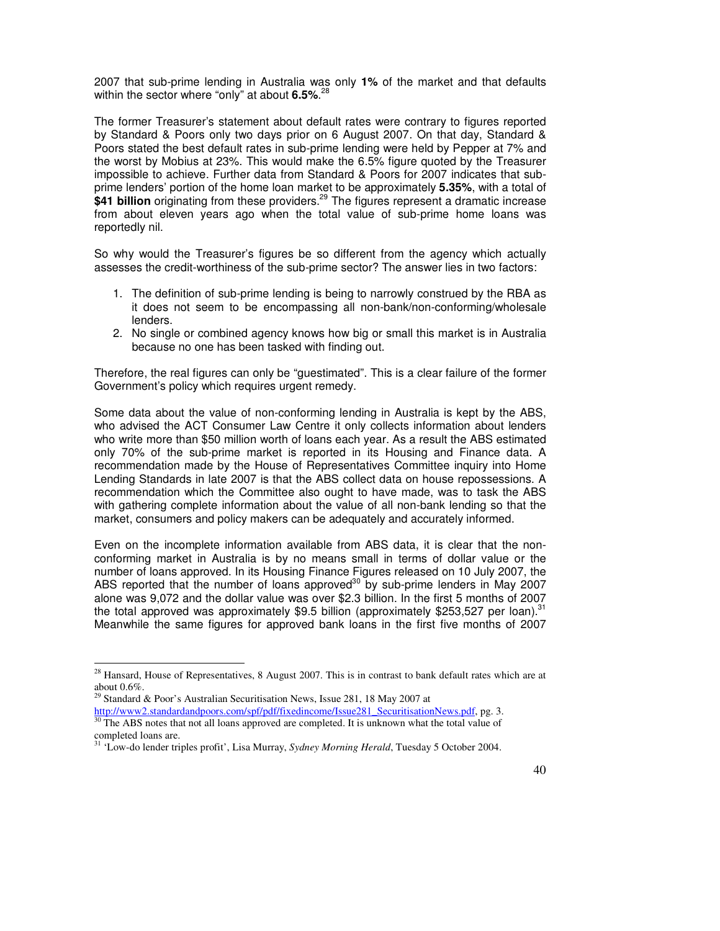2007 that sub-prime lending in Australia was only **1%** of the market and that defaults within the sector where "only" at about **6.5%**. 28

The former Treasurer's statement about default rates were contrary to figures reported by Standard & Poors only two days prior on 6 August 2007. On that day, Standard & Poors stated the best default rates in sub-prime lending were held by Pepper at 7% and the worst by Mobius at 23%. This would make the 6.5% figure quoted by the Treasurer impossible to achieve. Further data from Standard & Poors for 2007 indicates that subprime lenders' portion of the home loan market to be approximately **5.35%**, with a total of \$41 billion originating from these providers.<sup>29</sup> The figures represent a dramatic increase from about eleven years ago when the total value of sub-prime home loans was reportedly nil.

So why would the Treasurer's figures be so different from the agency which actually assesses the credit-worthiness of the sub-prime sector? The answer lies in two factors:

- 1. The definition of sub-prime lending is being to narrowly construed by the RBA as it does not seem to be encompassing all non-bank/non-conforming/wholesale lenders.
- 2. No single or combined agency knows how big or small this market is in Australia because no one has been tasked with finding out.

Therefore, the real figures can only be "guestimated". This is a clear failure of the former Government's policy which requires urgent remedy.

Some data about the value of non-conforming lending in Australia is kept by the ABS, who advised the ACT Consumer Law Centre it only collects information about lenders who write more than \$50 million worth of loans each year. As a result the ABS estimated only 70% of the sub-prime market is reported in its Housing and Finance data. A recommendation made by the House of Representatives Committee inquiry into Home Lending Standards in late 2007 is that the ABS collect data on house repossessions. A recommendation which the Committee also ought to have made, was to task the ABS with gathering complete information about the value of all non-bank lending so that the market, consumers and policy makers can be adequately and accurately informed.

Even on the incomplete information available from ABS data, it is clear that the nonconforming market in Australia is by no means small in terms of dollar value or the number of loans approved. In its Housing Finance Figures released on 10 July 2007, the ABS reported that the number of loans approved<sup>30</sup> by sub-prime lenders in May 2007 alone was 9,072 and the dollar value was over \$2.3 billion. In the first 5 months of 2007 the total approved was approximately \$9.5 billion (approximately \$253,527 per loan).<sup>31</sup> Meanwhile the same figures for approved bank loans in the first five months of 2007

 $\overline{a}$ 

 $2<sup>28</sup>$  Hansard, House of Representatives, 8 August 2007. This is in contrast to bank default rates which are at about 0.6%.

 $29$  Standard & Poor's Australian Securitisation News, Issue 281, 18 May 2007 at

http://www2.standardandpoors.com/spf/pdf/fixedincome/Issue281\_SecuritisationNews.pdf, pg. 3. <sup>30</sup> The ABS notes that not all loans approved are completed. It is unknown what the total value of completed loans are.

<sup>&</sup>lt;sup>31</sup> 'Low-do lender triples profit', Lisa Murray, *Sydney Morning Herald*, Tuesday 5 October 2004.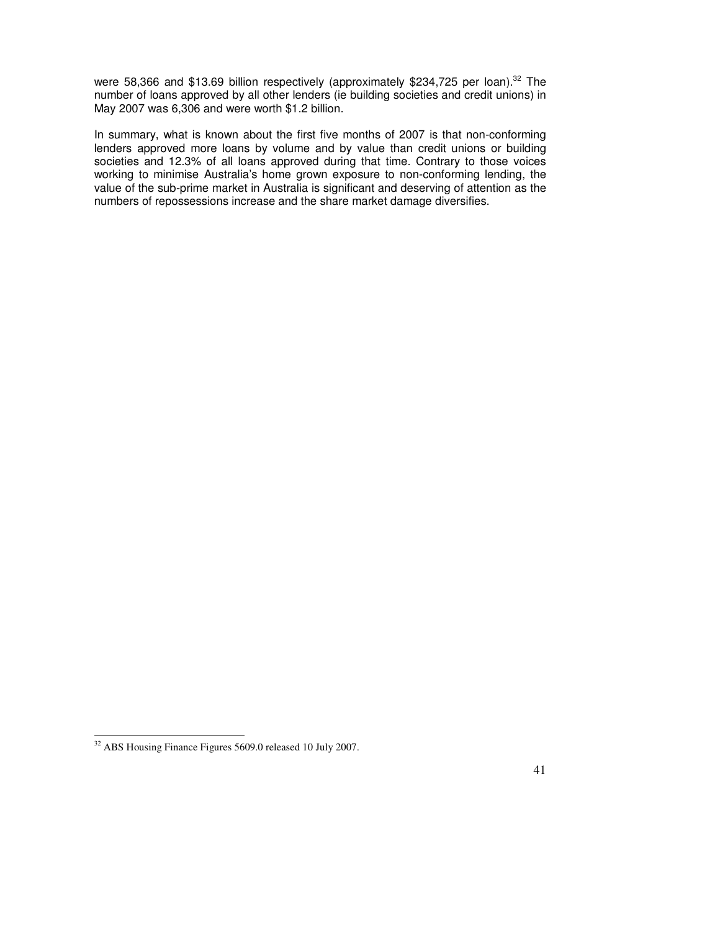were 58,366 and \$13.69 billion respectively (approximately \$234,725 per loan).<sup>32</sup> The number of loans approved by all other lenders (ie building societies and credit unions) in May 2007 was 6,306 and were worth \$1.2 billion.

In summary, what is known about the first five months of 2007 is that non-conforming lenders approved more loans by volume and by value than credit unions or building societies and 12.3% of all loans approved during that time. Contrary to those voices working to minimise Australia's home grown exposure to non-conforming lending, the value of the sub-prime market in Australia is significant and deserving of attention as the numbers of repossessions increase and the share market damage diversifies.

 $\overline{a}$  $32$  ABS Housing Finance Figures 5609.0 released 10 July 2007.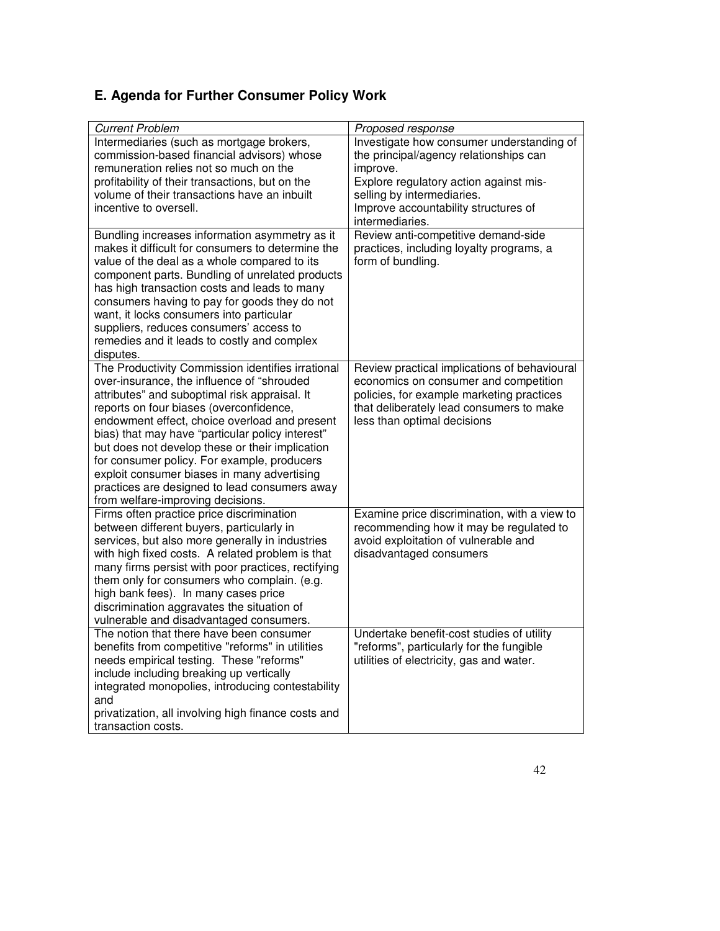# **E. Agenda for Further Consumer Policy Work**

| <b>Current Problem</b>                              | Proposed response                            |
|-----------------------------------------------------|----------------------------------------------|
| Intermediaries (such as mortgage brokers,           | Investigate how consumer understanding of    |
| commission-based financial advisors) whose          | the principal/agency relationships can       |
| remuneration relies not so much on the              | improve.                                     |
| profitability of their transactions, but on the     | Explore regulatory action against mis-       |
| volume of their transactions have an inbuilt        | selling by intermediaries.                   |
| incentive to oversell.                              | Improve accountability structures of         |
|                                                     | intermediaries.                              |
| Bundling increases information asymmetry as it      | Review anti-competitive demand-side          |
| makes it difficult for consumers to determine the   | practices, including loyalty programs, a     |
| value of the deal as a whole compared to its        | form of bundling.                            |
| component parts. Bundling of unrelated products     |                                              |
| has high transaction costs and leads to many        |                                              |
| consumers having to pay for goods they do not       |                                              |
| want, it locks consumers into particular            |                                              |
| suppliers, reduces consumers' access to             |                                              |
| remedies and it leads to costly and complex         |                                              |
| disputes.                                           |                                              |
| The Productivity Commission identifies irrational   | Review practical implications of behavioural |
| over-insurance, the influence of "shrouded          | economics on consumer and competition        |
| attributes" and suboptimal risk appraisal. It       | policies, for example marketing practices    |
| reports on four biases (overconfidence,             | that deliberately lead consumers to make     |
| endowment effect, choice overload and present       | less than optimal decisions                  |
| bias) that may have "particular policy interest"    |                                              |
| but does not develop these or their implication     |                                              |
| for consumer policy. For example, producers         |                                              |
| exploit consumer biases in many advertising         |                                              |
| practices are designed to lead consumers away       |                                              |
| from welfare-improving decisions.                   |                                              |
| Firms often practice price discrimination           | Examine price discrimination, with a view to |
| between different buyers, particularly in           | recommending how it may be regulated to      |
| services, but also more generally in industries     | avoid exploitation of vulnerable and         |
| with high fixed costs. A related problem is that    | disadvantaged consumers                      |
| many firms persist with poor practices, rectifying  |                                              |
| them only for consumers who complain. (e.g.         |                                              |
| high bank fees). In many cases price                |                                              |
| discrimination aggravates the situation of          |                                              |
| vulnerable and disadvantaged consumers.             |                                              |
|                                                     |                                              |
| The notion that there have been consumer            | Undertake benefit-cost studies of utility    |
| benefits from competitive "reforms" in utilities    | "reforms", particularly for the fungible     |
| needs empirical testing. These "reforms"            | utilities of electricity, gas and water.     |
| include including breaking up vertically            |                                              |
| integrated monopolies, introducing contestability   |                                              |
| and                                                 |                                              |
| privatization, all involving high finance costs and |                                              |
| transaction costs.                                  |                                              |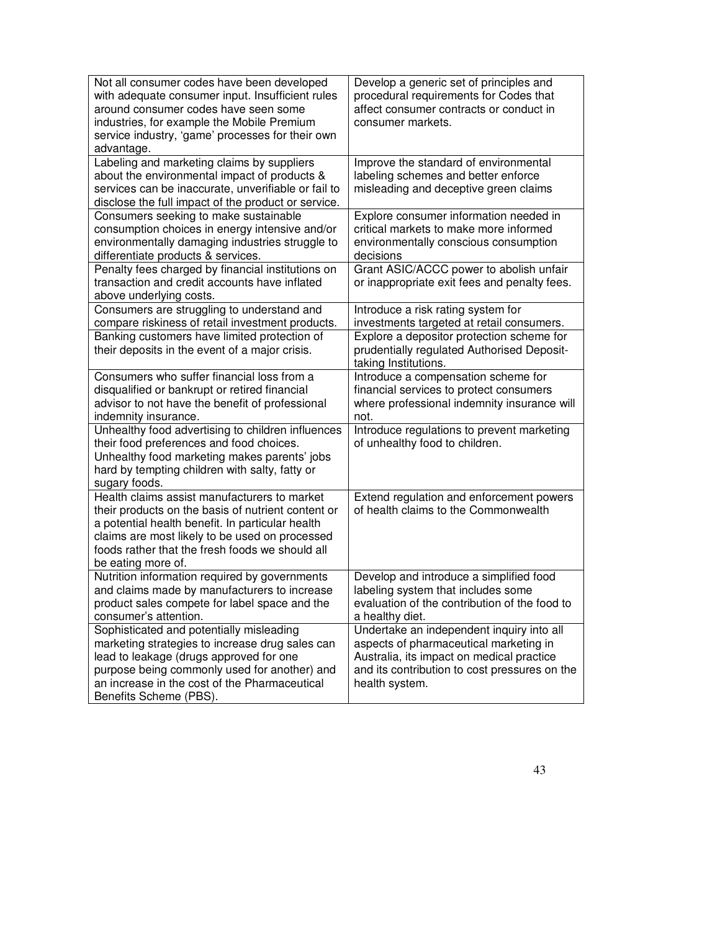| Not all consumer codes have been developed<br>with adequate consumer input. Insufficient rules<br>around consumer codes have seen some<br>industries, for example the Mobile Premium<br>service industry, 'game' processes for their own<br>advantage.                            | Develop a generic set of principles and<br>procedural requirements for Codes that<br>affect consumer contracts or conduct in<br>consumer markets.                                                   |
|-----------------------------------------------------------------------------------------------------------------------------------------------------------------------------------------------------------------------------------------------------------------------------------|-----------------------------------------------------------------------------------------------------------------------------------------------------------------------------------------------------|
| Labeling and marketing claims by suppliers<br>about the environmental impact of products &<br>services can be inaccurate, unverifiable or fail to<br>disclose the full impact of the product or service.                                                                          | Improve the standard of environmental<br>labeling schemes and better enforce<br>misleading and deceptive green claims                                                                               |
| Consumers seeking to make sustainable<br>consumption choices in energy intensive and/or<br>environmentally damaging industries struggle to<br>differentiate products & services.                                                                                                  | Explore consumer information needed in<br>critical markets to make more informed<br>environmentally conscious consumption<br>decisions                                                              |
| Penalty fees charged by financial institutions on<br>transaction and credit accounts have inflated<br>above underlying costs.                                                                                                                                                     | Grant ASIC/ACCC power to abolish unfair<br>or inappropriate exit fees and penalty fees.                                                                                                             |
| Consumers are struggling to understand and<br>compare riskiness of retail investment products.                                                                                                                                                                                    | Introduce a risk rating system for<br>investments targeted at retail consumers.                                                                                                                     |
| Banking customers have limited protection of<br>their deposits in the event of a major crisis.                                                                                                                                                                                    | Explore a depositor protection scheme for<br>prudentially regulated Authorised Deposit-<br>taking Institutions.                                                                                     |
| Consumers who suffer financial loss from a<br>disqualified or bankrupt or retired financial<br>advisor to not have the benefit of professional<br>indemnity insurance.                                                                                                            | Introduce a compensation scheme for<br>financial services to protect consumers<br>where professional indemnity insurance will<br>not.                                                               |
| Unhealthy food advertising to children influences<br>their food preferences and food choices.<br>Unhealthy food marketing makes parents' jobs<br>hard by tempting children with salty, fatty or<br>sugary foods.                                                                  | Introduce regulations to prevent marketing<br>of unhealthy food to children.                                                                                                                        |
| Health claims assist manufacturers to market<br>their products on the basis of nutrient content or<br>a potential health benefit. In particular health<br>claims are most likely to be used on processed<br>foods rather that the fresh foods we should all<br>be eating more of. | Extend regulation and enforcement powers<br>of health claims to the Commonwealth                                                                                                                    |
| Nutrition information required by governments<br>and claims made by manufacturers to increase<br>product sales compete for label space and the<br>consumer's attention.                                                                                                           | Develop and introduce a simplified food<br>labeling system that includes some<br>evaluation of the contribution of the food to<br>a healthy diet.                                                   |
| Sophisticated and potentially misleading<br>marketing strategies to increase drug sales can<br>lead to leakage (drugs approved for one<br>purpose being commonly used for another) and<br>an increase in the cost of the Pharmaceutical<br>Benefits Scheme (PBS).                 | Undertake an independent inquiry into all<br>aspects of pharmaceutical marketing in<br>Australia, its impact on medical practice<br>and its contribution to cost pressures on the<br>health system. |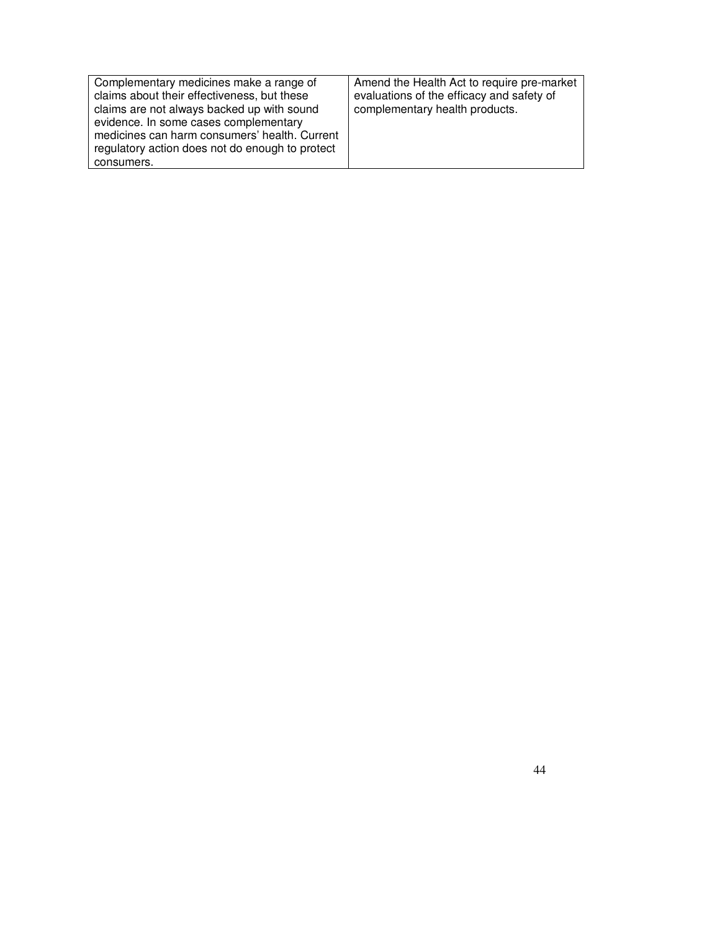| Complementary medicines make a range of<br>claims about their effectiveness, but these<br>claims are not always backed up with sound<br>evidence. In some cases complementary<br>medicines can harm consumers' health. Current<br>regulatory action does not do enough to protect<br>consumers. | Amend the Health Act to require pre-market<br>evaluations of the efficacy and safety of<br>complementary health products. |
|-------------------------------------------------------------------------------------------------------------------------------------------------------------------------------------------------------------------------------------------------------------------------------------------------|---------------------------------------------------------------------------------------------------------------------------|
|-------------------------------------------------------------------------------------------------------------------------------------------------------------------------------------------------------------------------------------------------------------------------------------------------|---------------------------------------------------------------------------------------------------------------------------|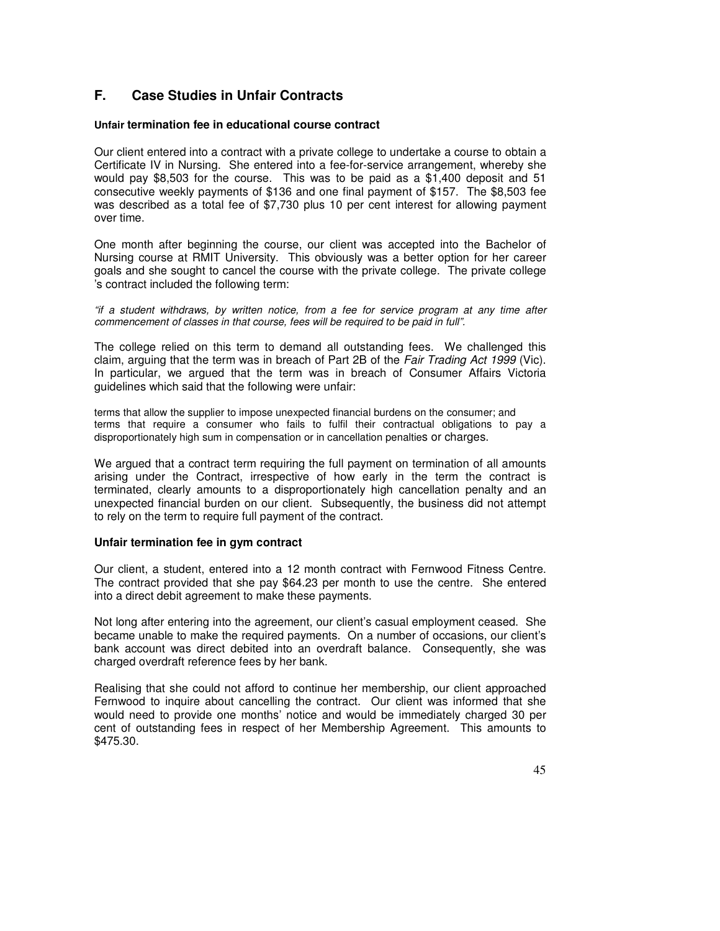## **F. Case Studies in Unfair Contracts**

#### **Unfair termination fee in educational course contract**

Our client entered into a contract with a private college to undertake a course to obtain a Certificate IV in Nursing. She entered into a fee-for-service arrangement, whereby she would pay \$8,503 for the course. This was to be paid as a \$1,400 deposit and 51 consecutive weekly payments of \$136 and one final payment of \$157. The \$8,503 fee was described as a total fee of \$7,730 plus 10 per cent interest for allowing payment over time.

One month after beginning the course, our client was accepted into the Bachelor of Nursing course at RMIT University. This obviously was a better option for her career goals and she sought to cancel the course with the private college. The private college 's contract included the following term:

"if a student withdraws, by written notice, from a fee for service program at any time after commencement of classes in that course, fees will be required to be paid in full".

The college relied on this term to demand all outstanding fees. We challenged this claim, arguing that the term was in breach of Part 2B of the Fair Trading Act 1999 (Vic). In particular, we argued that the term was in breach of Consumer Affairs Victoria guidelines which said that the following were unfair:

terms that allow the supplier to impose unexpected financial burdens on the consumer; and terms that require a consumer who fails to fulfil their contractual obligations to pay a disproportionately high sum in compensation or in cancellation penalties or charges.

We argued that a contract term requiring the full payment on termination of all amounts arising under the Contract, irrespective of how early in the term the contract is terminated, clearly amounts to a disproportionately high cancellation penalty and an unexpected financial burden on our client. Subsequently, the business did not attempt to rely on the term to require full payment of the contract.

#### **Unfair termination fee in gym contract**

Our client, a student, entered into a 12 month contract with Fernwood Fitness Centre. The contract provided that she pay \$64.23 per month to use the centre. She entered into a direct debit agreement to make these payments.

Not long after entering into the agreement, our client's casual employment ceased. She became unable to make the required payments. On a number of occasions, our client's bank account was direct debited into an overdraft balance. Consequently, she was charged overdraft reference fees by her bank.

Realising that she could not afford to continue her membership, our client approached Fernwood to inquire about cancelling the contract. Our client was informed that she would need to provide one months' notice and would be immediately charged 30 per cent of outstanding fees in respect of her Membership Agreement. This amounts to \$475.30.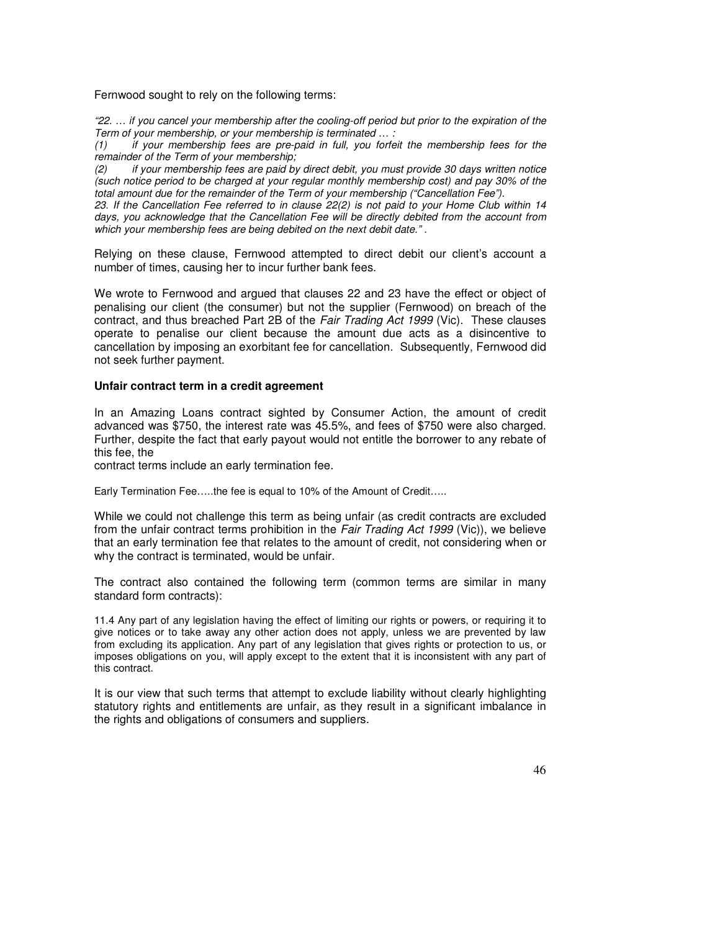Fernwood sought to rely on the following terms:

"22. … if you cancel your membership after the cooling-off period but prior to the expiration of the Term of your membership, or your membership is terminated … :

(1) if your membership fees are pre-paid in full, you forfeit the membership fees for the remainder of the Term of your membership;

(2) if your membership fees are paid by direct debit, you must provide 30 days written notice (such notice period to be charged at your regular monthly membership cost) and pay 30% of the total amount due for the remainder of the Term of your membership ("Cancellation Fee").

23. If the Cancellation Fee referred to in clause 22(2) is not paid to your Home Club within 14 days, you acknowledge that the Cancellation Fee will be directly debited from the account from which your membership fees are being debited on the next debit date.".

Relying on these clause, Fernwood attempted to direct debit our client's account a number of times, causing her to incur further bank fees.

We wrote to Fernwood and argued that clauses 22 and 23 have the effect or object of penalising our client (the consumer) but not the supplier (Fernwood) on breach of the contract, and thus breached Part 2B of the Fair Trading Act 1999 (Vic). These clauses operate to penalise our client because the amount due acts as a disincentive to cancellation by imposing an exorbitant fee for cancellation. Subsequently, Fernwood did not seek further payment.

#### **Unfair contract term in a credit agreement**

In an Amazing Loans contract sighted by Consumer Action, the amount of credit advanced was \$750, the interest rate was 45.5%, and fees of \$750 were also charged. Further, despite the fact that early payout would not entitle the borrower to any rebate of this fee, the

contract terms include an early termination fee.

Early Termination Fee…..the fee is equal to 10% of the Amount of Credit…..

While we could not challenge this term as being unfair (as credit contracts are excluded from the unfair contract terms prohibition in the Fair Trading Act 1999 (Vic)), we believe that an early termination fee that relates to the amount of credit, not considering when or why the contract is terminated, would be unfair.

The contract also contained the following term (common terms are similar in many standard form contracts):

11.4 Any part of any legislation having the effect of limiting our rights or powers, or requiring it to give notices or to take away any other action does not apply, unless we are prevented by law from excluding its application. Any part of any legislation that gives rights or protection to us, or imposes obligations on you, will apply except to the extent that it is inconsistent with any part of this contract.

It is our view that such terms that attempt to exclude liability without clearly highlighting statutory rights and entitlements are unfair, as they result in a significant imbalance in the rights and obligations of consumers and suppliers.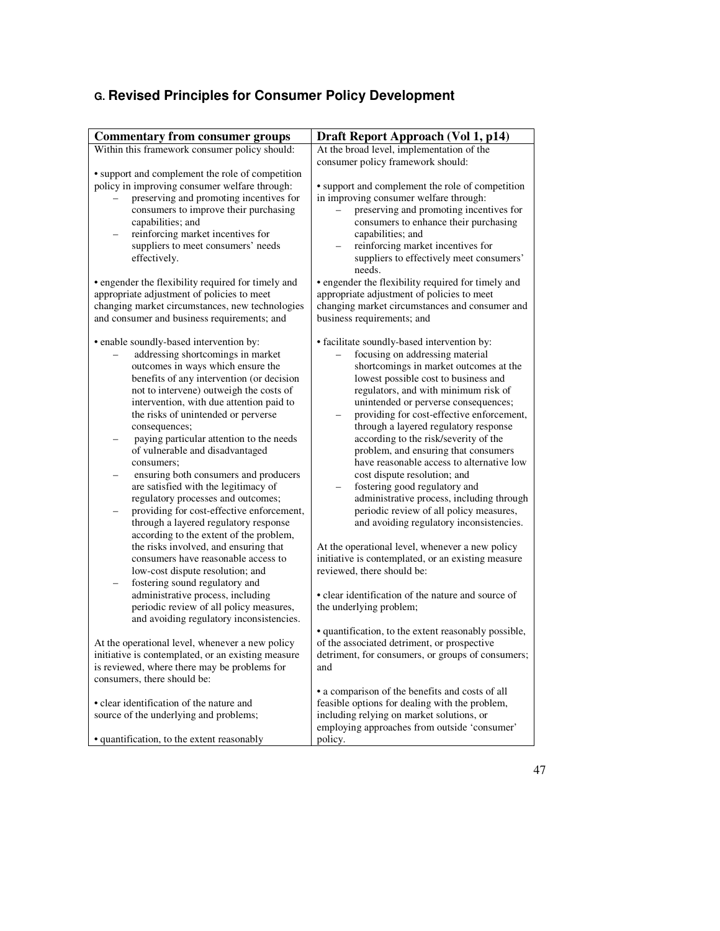# **G. Revised Principles for Consumer Policy Development**

| <b>Commentary from consumer groups</b>                                                                                                                                                                                                                                                                                                                                                                                                                                                                                                                                                                                                                                                                                                                                                                                                                        | Draft Report Approach (Vol 1, p14)                                                                                                                                                                                                                                                                                                                                                                                                                                                                                                                                                                                                                                                                                                                                                                                                                                     |
|---------------------------------------------------------------------------------------------------------------------------------------------------------------------------------------------------------------------------------------------------------------------------------------------------------------------------------------------------------------------------------------------------------------------------------------------------------------------------------------------------------------------------------------------------------------------------------------------------------------------------------------------------------------------------------------------------------------------------------------------------------------------------------------------------------------------------------------------------------------|------------------------------------------------------------------------------------------------------------------------------------------------------------------------------------------------------------------------------------------------------------------------------------------------------------------------------------------------------------------------------------------------------------------------------------------------------------------------------------------------------------------------------------------------------------------------------------------------------------------------------------------------------------------------------------------------------------------------------------------------------------------------------------------------------------------------------------------------------------------------|
| Within this framework consumer policy should:                                                                                                                                                                                                                                                                                                                                                                                                                                                                                                                                                                                                                                                                                                                                                                                                                 | At the broad level, implementation of the                                                                                                                                                                                                                                                                                                                                                                                                                                                                                                                                                                                                                                                                                                                                                                                                                              |
|                                                                                                                                                                                                                                                                                                                                                                                                                                                                                                                                                                                                                                                                                                                                                                                                                                                               | consumer policy framework should:                                                                                                                                                                                                                                                                                                                                                                                                                                                                                                                                                                                                                                                                                                                                                                                                                                      |
| • support and complement the role of competition<br>policy in improving consumer welfare through:<br>preserving and promoting incentives for<br>consumers to improve their purchasing<br>capabilities; and<br>reinforcing market incentives for                                                                                                                                                                                                                                                                                                                                                                                                                                                                                                                                                                                                               | • support and complement the role of competition<br>in improving consumer welfare through:<br>preserving and promoting incentives for<br>consumers to enhance their purchasing<br>capabilities; and                                                                                                                                                                                                                                                                                                                                                                                                                                                                                                                                                                                                                                                                    |
| suppliers to meet consumers' needs<br>effectively.                                                                                                                                                                                                                                                                                                                                                                                                                                                                                                                                                                                                                                                                                                                                                                                                            | reinforcing market incentives for<br>suppliers to effectively meet consumers'<br>needs.                                                                                                                                                                                                                                                                                                                                                                                                                                                                                                                                                                                                                                                                                                                                                                                |
| • engender the flexibility required for timely and                                                                                                                                                                                                                                                                                                                                                                                                                                                                                                                                                                                                                                                                                                                                                                                                            | • engender the flexibility required for timely and                                                                                                                                                                                                                                                                                                                                                                                                                                                                                                                                                                                                                                                                                                                                                                                                                     |
| appropriate adjustment of policies to meet                                                                                                                                                                                                                                                                                                                                                                                                                                                                                                                                                                                                                                                                                                                                                                                                                    | appropriate adjustment of policies to meet                                                                                                                                                                                                                                                                                                                                                                                                                                                                                                                                                                                                                                                                                                                                                                                                                             |
| changing market circumstances, new technologies                                                                                                                                                                                                                                                                                                                                                                                                                                                                                                                                                                                                                                                                                                                                                                                                               | changing market circumstances and consumer and                                                                                                                                                                                                                                                                                                                                                                                                                                                                                                                                                                                                                                                                                                                                                                                                                         |
| and consumer and business requirements; and                                                                                                                                                                                                                                                                                                                                                                                                                                                                                                                                                                                                                                                                                                                                                                                                                   | business requirements; and                                                                                                                                                                                                                                                                                                                                                                                                                                                                                                                                                                                                                                                                                                                                                                                                                                             |
| • enable soundly-based intervention by:<br>addressing shortcomings in market<br>outcomes in ways which ensure the<br>benefits of any intervention (or decision<br>not to intervene) outweigh the costs of<br>intervention, with due attention paid to<br>the risks of unintended or perverse<br>consequences;<br>paying particular attention to the needs<br>of vulnerable and disadvantaged<br>consumers;<br>ensuring both consumers and producers<br>are satisfied with the legitimacy of<br>regulatory processes and outcomes;<br>providing for cost-effective enforcement,<br>through a layered regulatory response<br>according to the extent of the problem,<br>the risks involved, and ensuring that<br>consumers have reasonable access to<br>low-cost dispute resolution; and<br>fostering sound regulatory and<br>administrative process, including | • facilitate soundly-based intervention by:<br>focusing on addressing material<br>shortcomings in market outcomes at the<br>lowest possible cost to business and<br>regulators, and with minimum risk of<br>unintended or perverse consequences;<br>providing for cost-effective enforcement,<br>through a layered regulatory response<br>according to the risk/severity of the<br>problem, and ensuring that consumers<br>have reasonable access to alternative low<br>cost dispute resolution; and<br>fostering good regulatory and<br>administrative process, including through<br>periodic review of all policy measures,<br>and avoiding regulatory inconsistencies.<br>At the operational level, whenever a new policy<br>initiative is contemplated, or an existing measure<br>reviewed, there should be:<br>• clear identification of the nature and source of |
| periodic review of all policy measures,                                                                                                                                                                                                                                                                                                                                                                                                                                                                                                                                                                                                                                                                                                                                                                                                                       | the underlying problem;                                                                                                                                                                                                                                                                                                                                                                                                                                                                                                                                                                                                                                                                                                                                                                                                                                                |
| and avoiding regulatory inconsistencies.                                                                                                                                                                                                                                                                                                                                                                                                                                                                                                                                                                                                                                                                                                                                                                                                                      | • quantification, to the extent reasonably possible,                                                                                                                                                                                                                                                                                                                                                                                                                                                                                                                                                                                                                                                                                                                                                                                                                   |
| At the operational level, whenever a new policy                                                                                                                                                                                                                                                                                                                                                                                                                                                                                                                                                                                                                                                                                                                                                                                                               | of the associated detriment, or prospective                                                                                                                                                                                                                                                                                                                                                                                                                                                                                                                                                                                                                                                                                                                                                                                                                            |
| initiative is contemplated, or an existing measure                                                                                                                                                                                                                                                                                                                                                                                                                                                                                                                                                                                                                                                                                                                                                                                                            | detriment, for consumers, or groups of consumers;                                                                                                                                                                                                                                                                                                                                                                                                                                                                                                                                                                                                                                                                                                                                                                                                                      |
| is reviewed, where there may be problems for                                                                                                                                                                                                                                                                                                                                                                                                                                                                                                                                                                                                                                                                                                                                                                                                                  | and                                                                                                                                                                                                                                                                                                                                                                                                                                                                                                                                                                                                                                                                                                                                                                                                                                                                    |
| consumers, there should be:                                                                                                                                                                                                                                                                                                                                                                                                                                                                                                                                                                                                                                                                                                                                                                                                                                   |                                                                                                                                                                                                                                                                                                                                                                                                                                                                                                                                                                                                                                                                                                                                                                                                                                                                        |
| • clear identification of the nature and                                                                                                                                                                                                                                                                                                                                                                                                                                                                                                                                                                                                                                                                                                                                                                                                                      | • a comparison of the benefits and costs of all<br>feasible options for dealing with the problem,                                                                                                                                                                                                                                                                                                                                                                                                                                                                                                                                                                                                                                                                                                                                                                      |
| source of the underlying and problems;                                                                                                                                                                                                                                                                                                                                                                                                                                                                                                                                                                                                                                                                                                                                                                                                                        | including relying on market solutions, or                                                                                                                                                                                                                                                                                                                                                                                                                                                                                                                                                                                                                                                                                                                                                                                                                              |
|                                                                                                                                                                                                                                                                                                                                                                                                                                                                                                                                                                                                                                                                                                                                                                                                                                                               | employing approaches from outside 'consumer'                                                                                                                                                                                                                                                                                                                                                                                                                                                                                                                                                                                                                                                                                                                                                                                                                           |
| • quantification, to the extent reasonably                                                                                                                                                                                                                                                                                                                                                                                                                                                                                                                                                                                                                                                                                                                                                                                                                    | policy.                                                                                                                                                                                                                                                                                                                                                                                                                                                                                                                                                                                                                                                                                                                                                                                                                                                                |